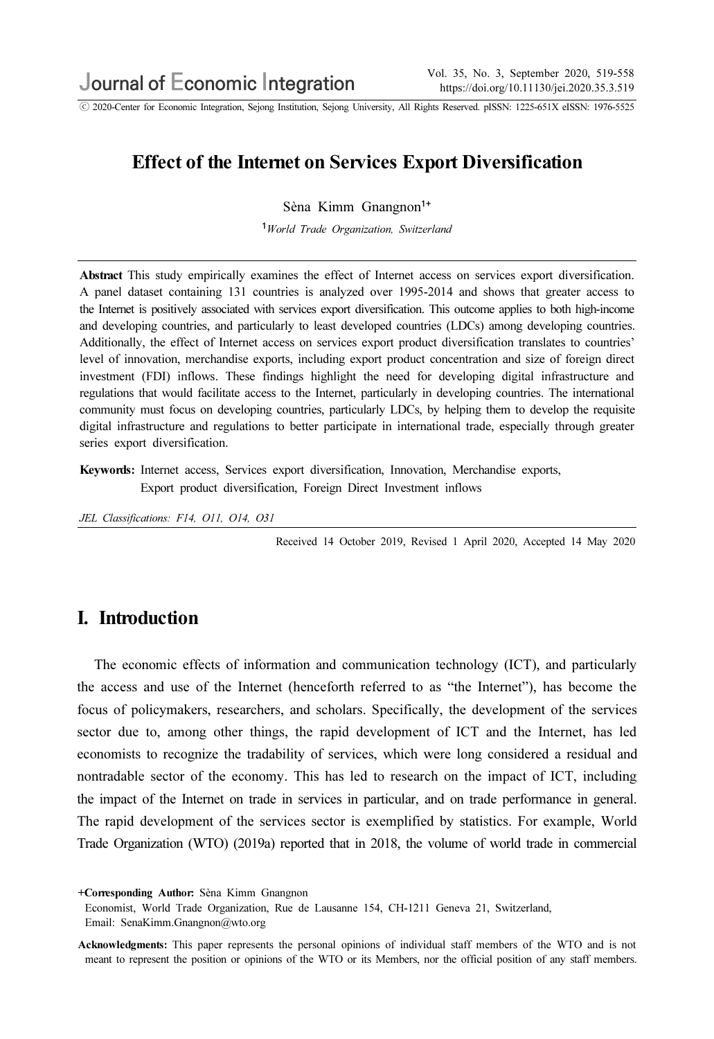ⓒ 2020-Center for Economic Integration, Sejong Institution, Sejong University, All Rights Reserved. pISSN: 1225-651X eISSN: 1976-5525

# Effect of the Internet on Services Export Diversification

Sèna Kimm Gnangnon<sup>1+</sup>

<sup>1</sup>World Trade Organization, Switzerland

Abstract This study empirically examines the effect of Internet access on services export diversification. A panel dataset containing 131 countries is analyzed over 1995-2014 and shows that greater access to the Internet is positively associated with services export diversification.This outcome applies to both high-income and developing countries, and particularly to least developed countries (LDCs) among developing countries. Additionally, the effect of Internet access on services export product diversification translates to countries' level of innovation, merchandise exports, including export product concentration and size of foreign direct investment (FDI) inflows. These findings highlight the need for developing digital infrastructure and regulations that would facilitate access to the Internet, particularly in developing countries.The international community must focus on developing countries, particularly LDCs, by helping them to develop the requisite digital infrastructure and regulations to better participate in international trade, especially through greater series export diversification.

Keywords: Internet access, Services export diversification, Innovation, Merchandise exports, Export product diversification, Foreign Direct Investment inflows

JEL Classifications: F14, O11, O14, O31

Received 14 October 2019, Revised 1 April 2020, Accepted 14 May 2020

## I. Introduction

The economic effects of information and communication technology (ICT), and particularly the access and use of the Internet (henceforth referred to as "the Internet"), has become the focus of policymakers, researchers, and scholars. Specifically, the development of the services sector due to, among other things, the rapid development of ICT and the Internet, has led economists to recognize the tradability of services, which were long considered a residual and nontradable sector of the economy. This has led to research on the impact of ICT, including the impact of the Internet on trade in services in particular, and on trade performance in general. The rapid development of the services sector is exemplified by statistics. For example, World Trade Organization (WTO) (2019a) reported that in 2018, the volume of world trade in commercial

<sup>+</sup>Corresponding Author: Sèna Kimm Gnangnon

Economist, World Trade Organization, Rue de Lausanne 154, CH-1211 Geneva 21, Switzerland, Email: SenaKimm.Gnangnon@wto.org

Acknowledgments: This paper represents the personal opinions of individual staff members of the WTO and is not meant to represent the position or opinions of the WTO or its Members, nor the official position of any staff members.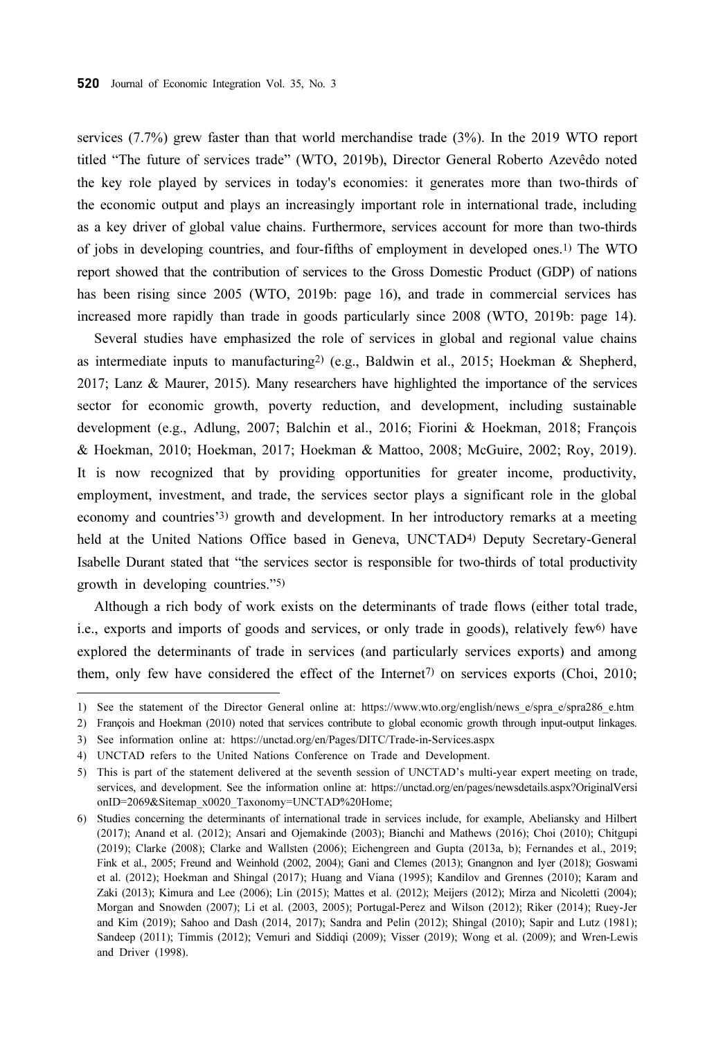services (7.7%) grew faster than that world merchandise trade (3%). In the 2019 WTO report titled "The future of services trade" (WTO, 2019b), Director General Roberto Azevêdo noted the key role played by services in today's economies: it generates more than two-thirds of the economic output and plays an increasingly important role in international trade, including as a key driver of global value chains. Furthermore, services account for more than two-thirds of jobs in developing countries, and four-fifths of employment in developed ones.1) The WTO report showed that the contribution of services to the Gross Domestic Product (GDP) of nations has been rising since 2005 (WTO, 2019b: page 16), and trade in commercial services has increased more rapidly than trade in goods particularly since 2008 (WTO, 2019b: page 14).

Several studies have emphasized the role of services in global and regional value chains as intermediate inputs to manufacturing2) (e.g., Baldwin et al., 2015; Hoekman & Shepherd, 2017; Lanz & Maurer, 2015). Many researchers have highlighted the importance of the services sector for economic growth, poverty reduction, and development, including sustainable development (e.g., Adlung, 2007; Balchin et al., 2016; Fiorini & Hoekman, 2018; François & Hoekman, 2010; Hoekman, 2017; Hoekman & Mattoo, 2008; McGuire, 2002; Roy, 2019). It is now recognized that by providing opportunities for greater income, productivity, employment, investment, and trade, the services sector plays a significant role in the global economy and countries'3) growth and development. In her introductory remarks at a meeting held at the United Nations Office based in Geneva, UNCTAD<sup>4)</sup> Deputy Secretary-General Isabelle Durant stated that "the services sector is responsible for two-thirds of total productivity growth in developing countries."5)

Although a rich body of work exists on the determinants of trade flows (either total trade, i.e., exports and imports of goods and services, or only trade in goods), relatively few<sup>6</sup> have explored the determinants of trade in services (and particularly services exports) and among them, only few have considered the effect of the Internet7) on services exports (Choi, 2010;

<sup>1)</sup> See the statement of the Director General online at: https://www.wto.org/english/news\_e/spra\_e/spra286\_e.htm

<sup>2)</sup> François and Hoekman (2010) noted that services contribute to global economic growth through input-output linkages.

<sup>3)</sup> See information online at: https://unctad.org/en/Pages/DITC/Trade-in-Services.aspx

<sup>4)</sup> UNCTAD refers to the United Nations Conference on Trade and Development.

<sup>5)</sup> This is part of the statement delivered at the seventh session of UNCTAD's multi-year expert meeting on trade, services, and development. See the information online at: https://unctad.org/en/pages/newsdetails.aspx?OriginalVersi onID=2069&Sitemap\_x0020\_Taxonomy=UNCTAD%20Home;

<sup>6)</sup> Studies concerning the determinants of international trade in services include, for example, Abeliansky and Hilbert (2017); Anand et al. (2012); Ansari and Ojemakinde (2003); Bianchi and Mathews (2016); Choi (2010); Chitgupi (2019); Clarke (2008); Clarke and Wallsten (2006); Eichengreen and Gupta (2013a, b); Fernandes et al., 2019; Fink et al., 2005; Freund and Weinhold (2002, 2004); Gani and Clemes (2013); Gnangnon and Iyer (2018); Goswami et al. (2012); Hoekman and Shingal (2017); Huang and Viana (1995); Kandilov and Grennes (2010); Karam and Zaki (2013); Kimura and Lee (2006); Lin (2015); Mattes et al. (2012); Meijers (2012); Mirza and Nicoletti (2004); Morgan and Snowden (2007); Li et al. (2003, 2005); Portugal-Perez and Wilson (2012); Riker (2014); Ruey-Jer and Kim (2019); Sahoo and Dash (2014, 2017); Sandra and Pelin (2012); Shingal (2010); Sapir and Lutz (1981); Sandeep (2011); Timmis (2012); Vemuri and Siddiqi (2009); Visser (2019); Wong et al. (2009); and Wren-Lewis and Driver (1998).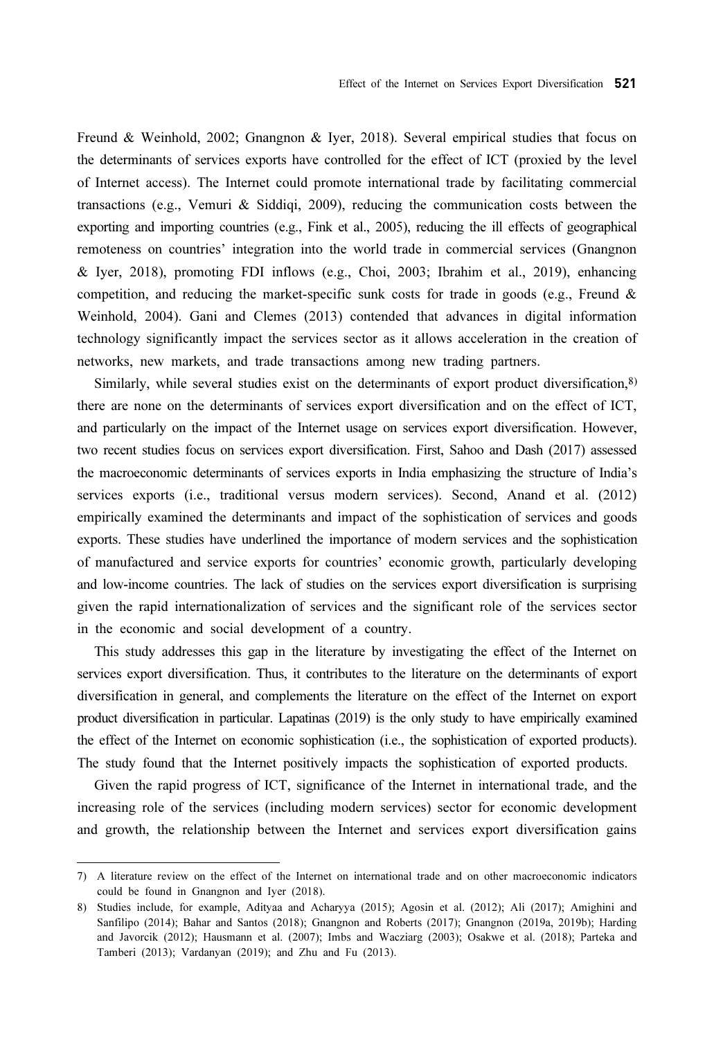Freund & Weinhold, 2002; Gnangnon & Iyer, 2018). Several empirical studies that focus on the determinants of services exports have controlled for the effect of ICT (proxied by the level of Internet access). The Internet could promote international trade by facilitating commercial transactions (e.g., Vemuri & Siddiqi, 2009), reducing the communication costs between the exporting and importing countries (e.g., Fink et al., 2005), reducing the ill effects of geographical remoteness on countries' integration into the world trade in commercial services (Gnangnon & Iyer, 2018), promoting FDI inflows (e.g., Choi, 2003; Ibrahim et al., 2019), enhancing competition, and reducing the market-specific sunk costs for trade in goods (e.g., Freund & Weinhold, 2004). Gani and Clemes (2013) contended that advances in digital information technology significantly impact the services sector as it allows acceleration in the creation of networks, new markets, and trade transactions among new trading partners.

Similarly, while several studies exist on the determinants of export product diversification,8) there are none on the determinants of services export diversification and on the effect of ICT, and particularly on the impact of the Internet usage on services export diversification. However, two recent studies focus on services export diversification. First, Sahoo and Dash (2017) assessed the macroeconomic determinants of services exports in India emphasizing the structure of India's services exports (i.e., traditional versus modern services). Second, Anand et al. (2012) empirically examined the determinants and impact of the sophistication of services and goods exports. These studies have underlined the importance of modern services and the sophistication of manufactured and service exports for countries' economic growth, particularly developing and low-income countries. The lack of studies on the services export diversification is surprising given the rapid internationalization of services and the significant role of the services sector in the economic and social development of a country.

This study addresses this gap in the literature by investigating the effect of the Internet on services export diversification. Thus, it contributes to the literature on the determinants of export diversification in general, and complements the literature on the effect of the Internet on export product diversification in particular. Lapatinas (2019) is the only study to have empirically examined the effect of the Internet on economic sophistication (i.e., the sophistication of exported products). The study found that the Internet positively impacts the sophistication of exported products.

Given the rapid progress of ICT, significance of the Internet in international trade, and the increasing role of the services (including modern services) sector for economic development and growth, the relationship between the Internet and services export diversification gains

<sup>7)</sup> A literature review on the effect of the Internet on international trade and on other macroeconomic indicators could be found in Gnangnon and Iyer (2018).

<sup>8)</sup> Studies include, for example, Adityaa and Acharyya (2015); Agosin et al. (2012); Ali (2017); Amighini and Sanfilipo (2014); Bahar and Santos (2018); Gnangnon and Roberts (2017); Gnangnon (2019a, 2019b); Harding and Javorcik (2012); Hausmann et al. (2007); Imbs and Wacziarg (2003); Osakwe et al. (2018); Parteka and Tamberi (2013); Vardanyan (2019); and Zhu and Fu (2013).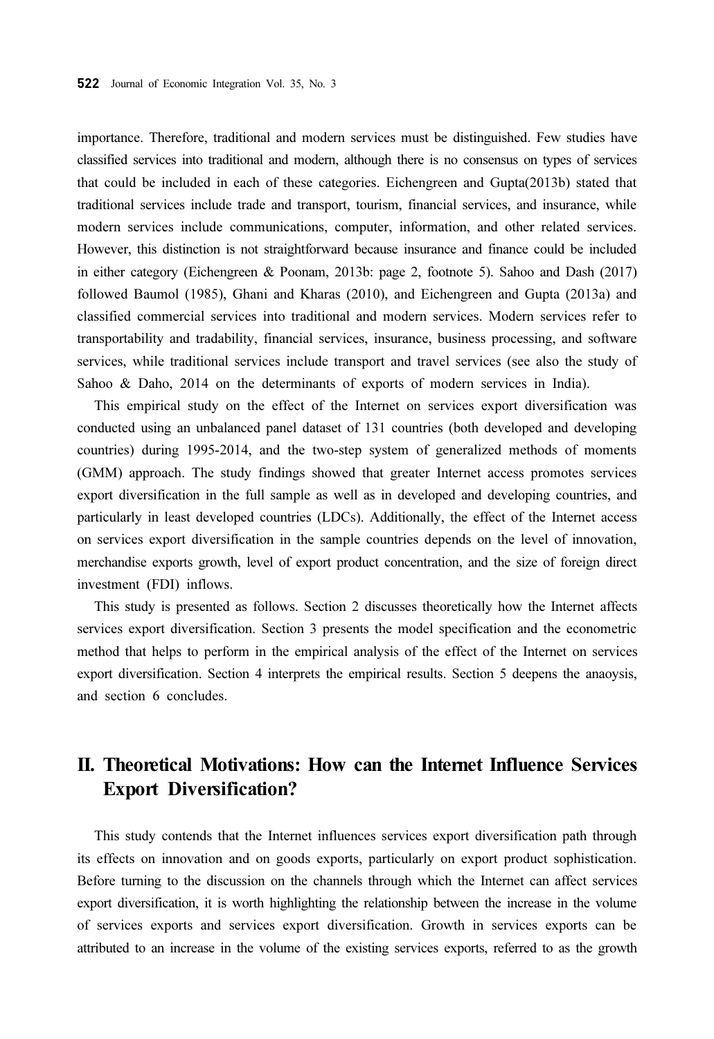importance. Therefore, traditional and modern services must be distinguished. Few studies have classified services into traditional and modern, although there is no consensus on types of services that could be included in each of these categories. Eichengreen and Gupta(2013b) stated that traditional services include trade and transport, tourism, financial services, and insurance, while modern services include communications, computer, information, and other related services. However, this distinction is not straightforward because insurance and finance could be included in either category (Eichengreen & Poonam, 2013b: page 2, footnote 5). Sahoo and Dash (2017) followed Baumol (1985), Ghani and Kharas (2010), and Eichengreen and Gupta (2013a) and classified commercial services into traditional and modern services. Modern services refer to transportability and tradability, financial services, insurance, business processing, and software services, while traditional services include transport and travel services (see also the study of Sahoo & Daho, 2014 on the determinants of exports of modern services in India).

This empirical study on the effect of the Internet on services export diversification was conducted using an unbalanced panel dataset of 131 countries (both developed and developing countries) during 1995-2014, and the two-step system of generalized methods of moments (GMM) approach. The study findings showed that greater Internet access promotes services export diversification in the full sample as well as in developed and developing countries, and particularly in least developed countries (LDCs). Additionally, the effect of the Internet access on services export diversification in the sample countries depends on the level of innovation, merchandise exports growth, level of export product concentration, and the size of foreign direct investment (FDI) inflows.

This study is presented as follows. Section 2 discusses theoretically how the Internet affects services export diversification. Section 3 presents the model specification and the econometric method that helps to perform in the empirical analysis of the effect of the Internet on services export diversification. Section 4 interprets the empirical results. Section 5 deepens the anaoysis, and section 6 concludes.

# II. Theoretical Motivations: How can the Internet Influence Services Export Diversification?

This study contends that the Internet influences services export diversification path through its effects on innovation and on goods exports, particularly on export product sophistication. Before turning to the discussion on the channels through which the Internet can affect services export diversification, it is worth highlighting the relationship between the increase in the volume of services exports and services export diversification. Growth in services exports can be attributed to an increase in the volume of the existing services exports, referred to as the growth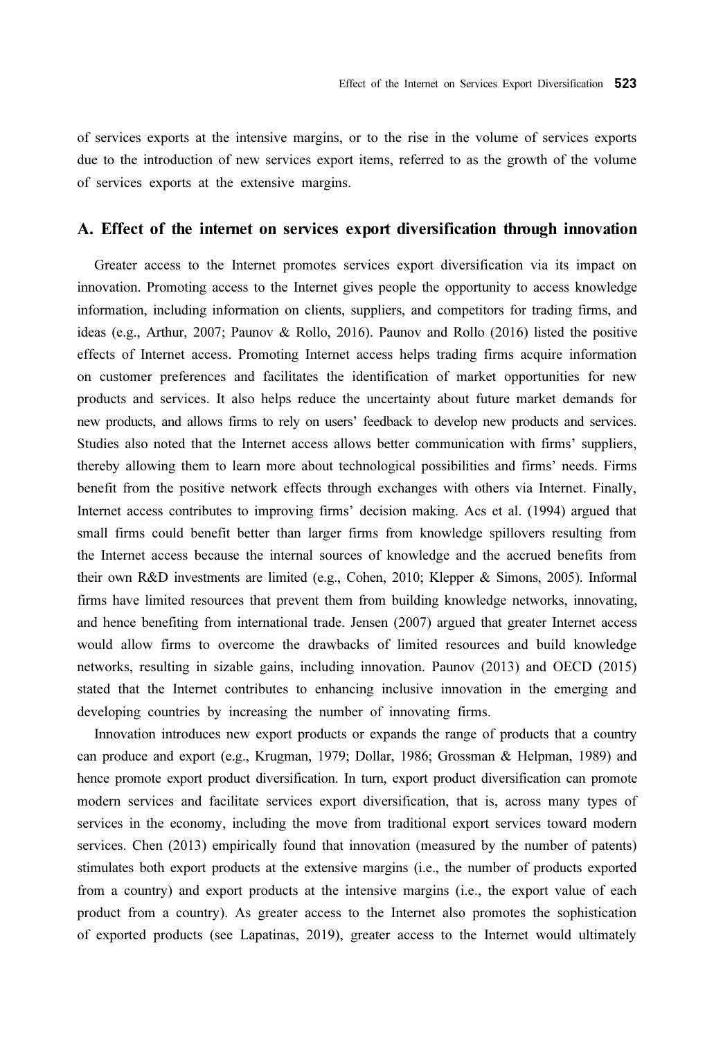of services exports at the intensive margins, or to the rise in the volume of services exports due to the introduction of new services export items, referred to as the growth of the volume of services exports at the extensive margins.

#### A. Effect of the internet on services export diversification through innovation

Greater access to the Internet promotes services export diversification via its impact on innovation. Promoting access to the Internet gives people the opportunity to access knowledge information, including information on clients, suppliers, and competitors for trading firms, and ideas (e.g., Arthur, 2007; Paunov & Rollo, 2016). Paunov and Rollo (2016) listed the positive effects of Internet access. Promoting Internet access helps trading firms acquire information on customer preferences and facilitates the identification of market opportunities for new products and services. It also helps reduce the uncertainty about future market demands for new products, and allows firms to rely on users' feedback to develop new products and services. Studies also noted that the Internet access allows better communication with firms' suppliers, thereby allowing them to learn more about technological possibilities and firms' needs. Firms benefit from the positive network effects through exchanges with others via Internet. Finally, Internet access contributes to improving firms' decision making. Acs et al. (1994) argued that small firms could benefit better than larger firms from knowledge spillovers resulting from the Internet access because the internal sources of knowledge and the accrued benefits from their own R&D investments are limited (e.g., Cohen, 2010; Klepper & Simons, 2005). Informal firms have limited resources that prevent them from building knowledge networks, innovating, and hence benefiting from international trade. Jensen (2007) argued that greater Internet access would allow firms to overcome the drawbacks of limited resources and build knowledge networks, resulting in sizable gains, including innovation. Paunov (2013) and OECD (2015) stated that the Internet contributes to enhancing inclusive innovation in the emerging and developing countries by increasing the number of innovating firms.

Innovation introduces new export products or expands the range of products that a country can produce and export (e.g., Krugman, 1979; Dollar, 1986; Grossman & Helpman, 1989) and hence promote export product diversification. In turn, export product diversification can promote modern services and facilitate services export diversification, that is, across many types of services in the economy, including the move from traditional export services toward modern services. Chen (2013) empirically found that innovation (measured by the number of patents) stimulates both export products at the extensive margins (i.e., the number of products exported from a country) and export products at the intensive margins (i.e., the export value of each product from a country). As greater access to the Internet also promotes the sophistication of exported products (see Lapatinas, 2019), greater access to the Internet would ultimately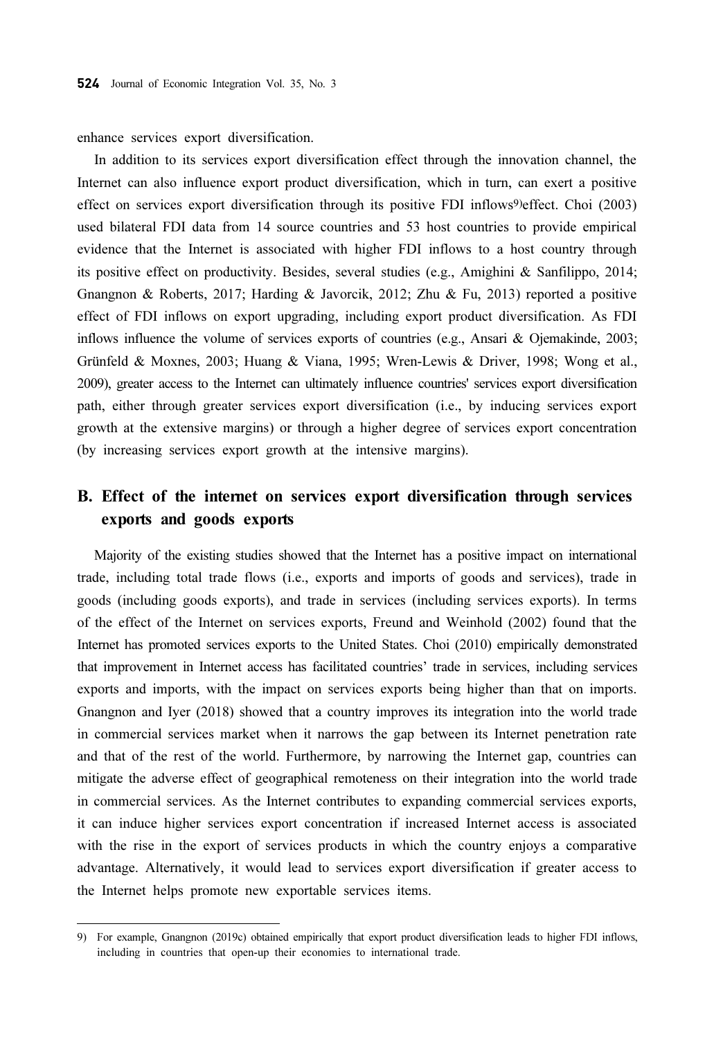enhance services export diversification.

In addition to its services export diversification effect through the innovation channel, the Internet can also influence export product diversification, which in turn, can exert a positive effect on services export diversification through its positive FDI inflows9)effect. Choi (2003) used bilateral FDI data from 14 source countries and 53 host countries to provide empirical evidence that the Internet is associated with higher FDI inflows to a host country through its positive effect on productivity. Besides, several studies (e.g., Amighini & Sanfilippo, 2014; Gnangnon & Roberts, 2017; Harding & Javorcik, 2012; Zhu & Fu, 2013) reported a positive effect of FDI inflows on export upgrading, including export product diversification. As FDI inflows influence the volume of services exports of countries (e.g., Ansari & Ojemakinde, 2003; Grünfeld & Moxnes, 2003; Huang & Viana, 1995; Wren-Lewis & Driver, 1998; Wong et al., 2009), greater access to the Internet can ultimately influence countries' services export diversification path, either through greater services export diversification (i.e., by inducing services export growth at the extensive margins) or through a higher degree of services export concentration (by increasing services export growth at the intensive margins).

### B. Effect of the internet on services export diversification through services exports and goods exports

Majority of the existing studies showed that the Internet has a positive impact on international trade, including total trade flows (i.e., exports and imports of goods and services), trade in goods (including goods exports), and trade in services (including services exports). In terms of the effect of the Internet on services exports, Freund and Weinhold (2002) found that the Internet has promoted services exports to the United States. Choi (2010) empirically demonstrated that improvement in Internet access has facilitated countries' trade in services, including services exports and imports, with the impact on services exports being higher than that on imports. Gnangnon and Iyer (2018) showed that a country improves its integration into the world trade in commercial services market when it narrows the gap between its Internet penetration rate and that of the rest of the world. Furthermore, by narrowing the Internet gap, countries can mitigate the adverse effect of geographical remoteness on their integration into the world trade in commercial services. As the Internet contributes to expanding commercial services exports, it can induce higher services export concentration if increased Internet access is associated with the rise in the export of services products in which the country enjoys a comparative advantage. Alternatively, it would lead to services export diversification if greater access to the Internet helps promote new exportable services items.

<sup>9)</sup> For example, Gnangnon (2019c) obtained empirically that export product diversification leads to higher FDI inflows, including in countries that open-up their economies to international trade.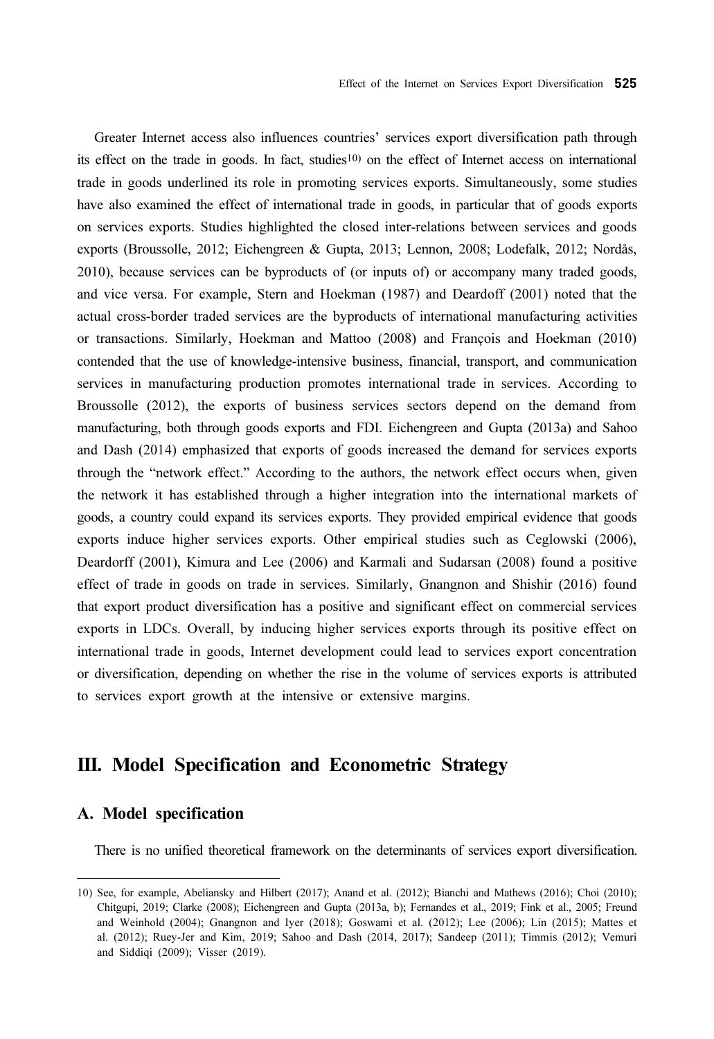Greater Internet access also influences countries' services export diversification path through its effect on the trade in goods. In fact, studies10) on the effect of Internet access on international trade in goods underlined its role in promoting services exports. Simultaneously, some studies have also examined the effect of international trade in goods, in particular that of goods exports on services exports. Studies highlighted the closed inter-relations between services and goods exports (Broussolle, 2012; Eichengreen & Gupta, 2013; Lennon, 2008; Lodefalk, 2012; Nordås, 2010), because services can be byproducts of (or inputs of) or accompany many traded goods, and vice versa. For example, Stern and Hoekman (1987) and Deardoff (2001) noted that the actual cross-border traded services are the byproducts of international manufacturing activities or transactions. Similarly, Hoekman and Mattoo (2008) and François and Hoekman (2010) contended that the use of knowledge-intensive business, financial, transport, and communication services in manufacturing production promotes international trade in services. According to Broussolle (2012), the exports of business services sectors depend on the demand from manufacturing, both through goods exports and FDI. Eichengreen and Gupta (2013a) and Sahoo and Dash (2014) emphasized that exports of goods increased the demand for services exports through the "network effect." According to the authors, the network effect occurs when, given the network it has established through a higher integration into the international markets of goods, a country could expand its services exports. They provided empirical evidence that goods exports induce higher services exports. Other empirical studies such as Ceglowski (2006), Deardorff (2001), Kimura and Lee (2006) and Karmali and Sudarsan (2008) found a positive effect of trade in goods on trade in services. Similarly, Gnangnon and Shishir (2016) found that export product diversification has a positive and significant effect on commercial services exports in LDCs. Overall, by inducing higher services exports through its positive effect on international trade in goods, Internet development could lead to services export concentration or diversification, depending on whether the rise in the volume of services exports is attributed to services export growth at the intensive or extensive margins.

# III. Model Specification and Econometric Strategy

#### A. Model specification

There is no unified theoretical framework on the determinants of services export diversification.

<sup>10)</sup> See, for example, Abeliansky and Hilbert (2017); Anand et al. (2012); Bianchi and Mathews (2016); Choi (2010); Chitgupi, 2019; Clarke (2008); Eichengreen and Gupta (2013a, b); Fernandes et al., 2019; Fink et al., 2005; Freund and Weinhold (2004); Gnangnon and Iyer (2018); Goswami et al. (2012); Lee (2006); Lin (2015); Mattes et al. (2012); Ruey-Jer and Kim, 2019; Sahoo and Dash (2014, 2017); Sandeep (2011); Timmis (2012); Vemuri and Siddiqi (2009); Visser (2019).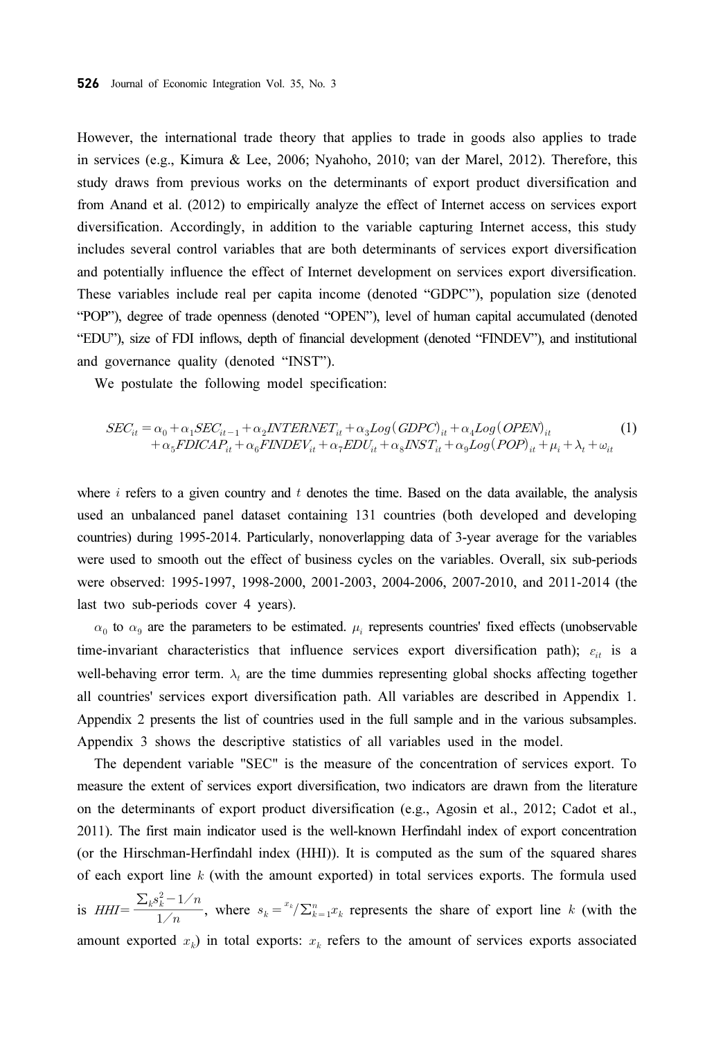However, the international trade theory that applies to trade in goods also applies to trade in services (e.g., Kimura & Lee, 2006; Nyahoho, 2010; van der Marel, 2012). Therefore, this study draws from previous works on the determinants of export product diversification and from Anand et al. (2012) to empirically analyze the effect of Internet access on services export diversification. Accordingly, in addition to the variable capturing Internet access, this study includes several control variables that are both determinants of services export diversification and potentially influence the effect of Internet development on services export diversification. These variables include real per capita income (denoted "GDPC"), population size (denoted "POP"), degree of trade openness (denoted "OPEN"), level of human capital accumulated (denoted "EDU"), size of FDI inflows, depth of financial development (denoted "FINDEV"), and institutional and governance quality (denoted "INST"). 526 Journal of Economi<br>
However, the interna<br>
in services (e.g., Kin<br>
study draws from pr<br>
from Anand et al. (2(<br>
diversification. Accon<br>
includes several cont<br>
and potentially influe<br>
These variables inclu<br>
"POP"), degre

We postulate the following model specification:

$$
SEC_{it} = \alpha_0 + \alpha_1 SEC_{it-1} + \alpha_2 INTERNET_{it} + \alpha_3 Log (GDPC)_{it} + \alpha_4 Log (OPEN)_{it} + \alpha_5 FDICAP_{it} + \alpha_6 FINDEV_{it} + \alpha_7 EDU_{it} + \alpha_8 INST_{it} + \alpha_9 Log (POP)_{it} + \mu_i + \lambda_t + \omega_{it}
$$
(1)

where  $i$  refers to a given country and  $t$  denotes the time. Based on the data available, the analysis used an unbalanced panel dataset containing 131 countries (both developed and developing countries) during 1995-2014. Particularly, nonoverlapping data of 3-year average for the variables were used to smooth out the effect of business cycles on the variables. Overall, six sub-periods were observed: 1995-1997, 1998-2000, 2001-2003, 2004-2006, 2007-2010, and 2011-2014 (the last two sub-periods cover 4 years).

 $\alpha_0$  to  $\alpha_9$  are the parameters to be estimated.  $\mu_i$  represents countries' fixed effects (unobservable time-invariant characteristics that influence services export diversification path);  $\varepsilon_{it}$  is a well-behaving error term.  $\lambda_t$  are the time dummies representing global shocks affecting together all countries' services export diversification path. All variables are described in Appendix 1. Appendix 2 presents the list of countries used in the full sample and in the various subsamples. Appendix 3 shows the descriptive statistics of all variables used in the model.

The dependent variable "SEC" is the measure of the concentration of services export. To measure the extent of services export diversification, two indicators are drawn from the literature on the determinants of export product diversification (e.g., Agosin et al., 2012; Cadot et al., 2011). The first main indicator used is the well-known Herfindahl index of export concentration (or the Hirschman-Herfindahl index (HHI)). It is computed as the sum of the squared shares of each export line  $k$  (with the amount exported) in total services exports. The formula used

 $\frac{\sum_{k} s_k^2 - 1/n}{1/n}$ , where  $s_k = \frac{x_k}{\sum_{k=1}^n x_k}$  represents the share of export line k (with the amount exported  $x_k$ ) in total exports:  $x_k$  refers to the amount of services exports associated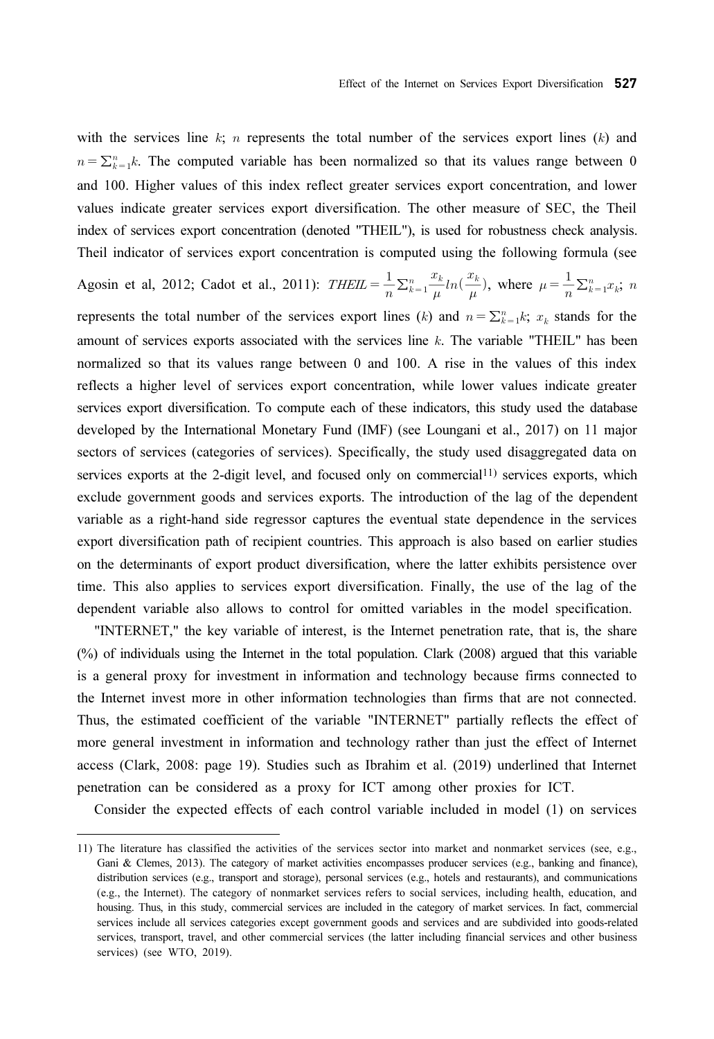with the services line  $k$ ;  $n$  represents the total number of the services export lines ( $k$ ) and  $n = \sum_{k=1}^{n} k$ . The computed variable has been normalized so that its values range between 0 and 100. Higher values of this index reflect greater services export concentration, and lower values indicate greater services export diversification. The other measure of SEC, the Theil index of services export concentration (denoted "THEIL"), is used for robustness check analysis. Theil indicator of services export concentration is computed using the following formula (see Effect of th<br>with the services line k; n represents the total num<br> $n = \sum_{k=1}^{n} k$ . The computed variable has been normal<br>and 100. Higher values of this index reflect greater<br>values indicate greater services export diversi on Serv<br>that it<br>export<br>ther m<br>sed for<br> $\sinh u \left(\frac{x_k}{x_k}\right)$ ervices Export Diversif<br>
ervices export lin<br>
its values range<br>
ort concentration,<br>
measure of SEC,<br>
for robustness chee<br>
g the following fo<br>  $\frac{x_k}{x_k}$ , where  $\mu = \frac{1}{k}$ 

 $\frac{1}{n} \sum_{k=1}^n \frac{x_k}{\mu}$  $\frac{x_k}{\mu}ln(\frac{x_k}{\mu})$ , where  $\mu = \frac{1}{n} \sum_{k=1}^n x_k$ ; n represents the total number of the services export lines (k) and  $n = \sum_{k=1}^{n} k$ ;  $x_k$  stands for the amount of services exports associated with the services line  $k$ . The variable "THEIL" has been normalized so that its values range between 0 and 100. A rise in the values of this index reflects a higher level of services export concentration, while lower values indicate greater services export diversification. To compute each of these indicators, this study used the database developed by the International Monetary Fund (IMF) (see Loungani et al., 2017) on 11 major sectors of services (categories of services). Specifically, the study used disaggregated data on services exports at the 2-digit level, and focused only on commercial11) services exports, which exclude government goods and services exports. The introduction of the lag of the dependent variable as a right-hand side regressor captures the eventual state dependence in the services export diversification path of recipient countries. This approach is also based on earlier studies on the determinants of export product diversification, where the latter exhibits persistence over time. This also applies to services export diversification. Finally, the use of the lag of the dependent variable also allows to control for omitted variables in the model specification.

"INTERNET," the key variable of interest, is the Internet penetration rate, that is, the share (%) of individuals using the Internet in the total population. Clark (2008) argued that this variable is a general proxy for investment in information and technology because firms connected to the Internet invest more in other information technologies than firms that are not connected. Thus, the estimated coefficient of the variable "INTERNET" partially reflects the effect of more general investment in information and technology rather than just the effect of Internet access (Clark, 2008: page 19). Studies such as Ibrahim et al. (2019) underlined that Internet penetration can be considered as a proxy for ICT among other proxies for ICT.

Consider the expected effects of each control variable included in model (1) on services

<sup>11)</sup> The literature has classified the activities of the services sector into market and nonmarket services (see, e.g., Gani & Clemes, 2013). The category of market activities encompasses producer services (e.g., banking and finance), distribution services (e.g., transport and storage), personal services (e.g., hotels and restaurants), and communications (e.g., the Internet). The category of nonmarket services refers to social services, including health, education, and housing. Thus, in this study, commercial services are included in the category of market services. In fact, commercial services include all services categories except government goods and services and are subdivided into goods-related services, transport, travel, and other commercial services (the latter including financial services and other business services) (see WTO, 2019).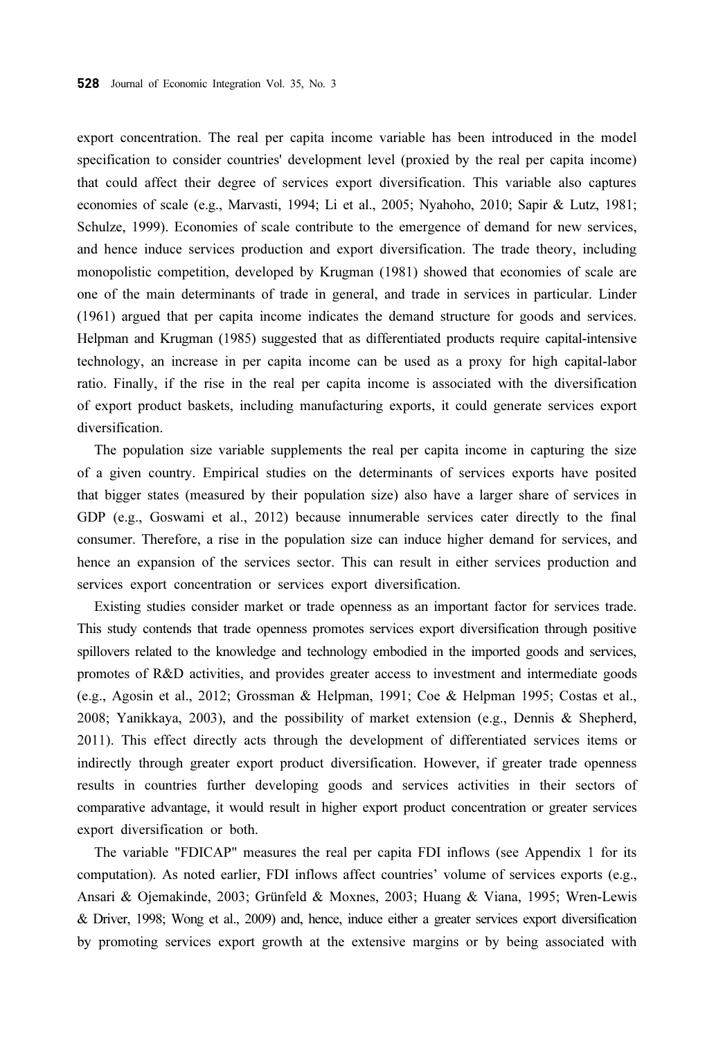export concentration. The real per capita income variable has been introduced in the model specification to consider countries' development level (proxied by the real per capita income) that could affect their degree of services export diversification. This variable also captures economies of scale (e.g., Marvasti, 1994; Li et al., 2005; Nyahoho, 2010; Sapir & Lutz, 1981; Schulze, 1999). Economies of scale contribute to the emergence of demand for new services, and hence induce services production and export diversification. The trade theory, including monopolistic competition, developed by Krugman (1981) showed that economies of scale are one of the main determinants of trade in general, and trade in services in particular. Linder (1961) argued that per capita income indicates the demand structure for goods and services. Helpman and Krugman (1985) suggested that as differentiated products require capital-intensive technology, an increase in per capita income can be used as a proxy for high capital-labor ratio. Finally, if the rise in the real per capita income is associated with the diversification of export product baskets, including manufacturing exports, it could generate services export diversification.

The population size variable supplements the real per capita income in capturing the size of a given country. Empirical studies on the determinants of services exports have posited that bigger states (measured by their population size) also have a larger share of services in GDP (e.g., Goswami et al., 2012) because innumerable services cater directly to the final consumer. Therefore, a rise in the population size can induce higher demand for services, and hence an expansion of the services sector. This can result in either services production and services export concentration or services export diversification.

Existing studies consider market or trade openness as an important factor for services trade. This study contends that trade openness promotes services export diversification through positive spillovers related to the knowledge and technology embodied in the imported goods and services, promotes of R&D activities, and provides greater access to investment and intermediate goods (e.g., Agosin et al., 2012; Grossman & Helpman, 1991; Coe & Helpman 1995; Costas et al., 2008; Yanikkaya, 2003), and the possibility of market extension (e.g., Dennis & Shepherd, 2011). This effect directly acts through the development of differentiated services items or indirectly through greater export product diversification. However, if greater trade openness results in countries further developing goods and services activities in their sectors of comparative advantage, it would result in higher export product concentration or greater services export diversification or both.

The variable "FDICAP" measures the real per capita FDI inflows (see Appendix 1 for its computation). As noted earlier, FDI inflows affect countries' volume of services exports (e.g., Ansari & Ojemakinde, 2003; Grünfeld & Moxnes, 2003; Huang & Viana, 1995; Wren-Lewis & Driver, 1998; Wong et al., 2009) and, hence, induce either a greater services export diversification by promoting services export growth at the extensive margins or by being associated with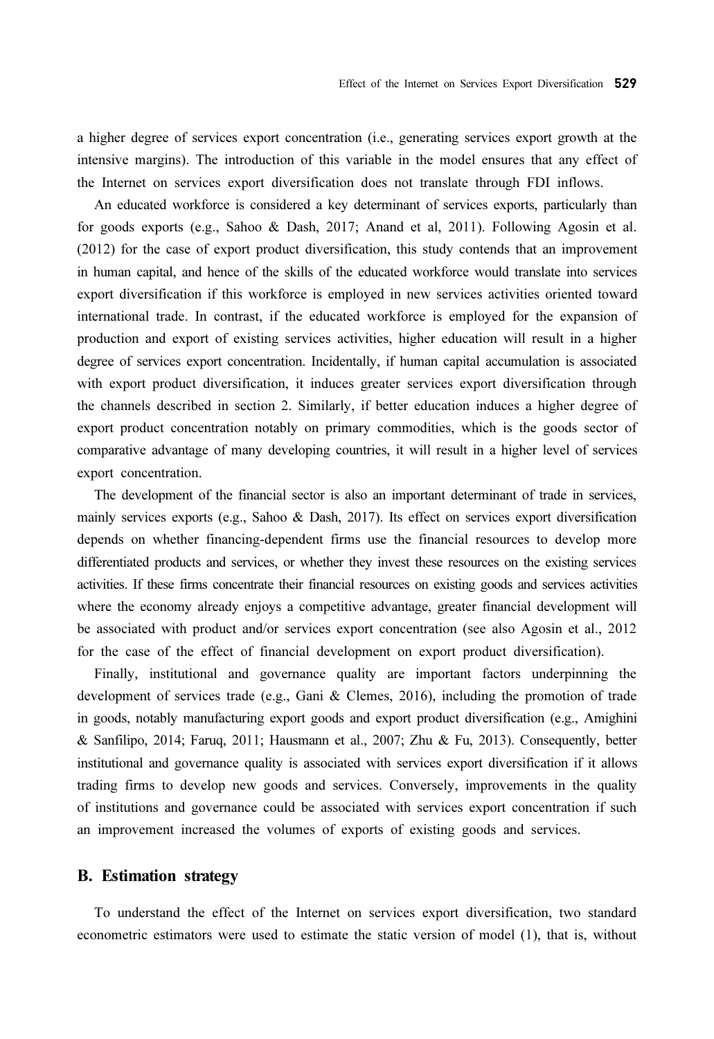a higher degree of services export concentration (i.e., generating services export growth at the intensive margins). The introduction of this variable in the model ensures that any effect of the Internet on services export diversification does not translate through FDI inflows.

An educated workforce is considered a key determinant of services exports, particularly than for goods exports (e.g., Sahoo & Dash, 2017; Anand et al, 2011). Following Agosin et al. (2012) for the case of export product diversification, this study contends that an improvement in human capital, and hence of the skills of the educated workforce would translate into services export diversification if this workforce is employed in new services activities oriented toward international trade. In contrast, if the educated workforce is employed for the expansion of production and export of existing services activities, higher education will result in a higher degree of services export concentration. Incidentally, if human capital accumulation is associated with export product diversification, it induces greater services export diversification through the channels described in section 2. Similarly, if better education induces a higher degree of export product concentration notably on primary commodities, which is the goods sector of comparative advantage of many developing countries, it will result in a higher level of services export concentration.

The development of the financial sector is also an important determinant of trade in services, mainly services exports (e.g., Sahoo & Dash, 2017). Its effect on services export diversification depends on whether financing-dependent firms use the financial resources to develop more differentiated products and services, or whether they invest these resources on the existing services activities. If these firms concentrate their financial resources on existing goods and services activities where the economy already enjoys a competitive advantage, greater financial development will be associated with product and/or services export concentration (see also Agosin et al., 2012 for the case of the effect of financial development on export product diversification).

Finally, institutional and governance quality are important factors underpinning the development of services trade (e.g., Gani & Clemes, 2016), including the promotion of trade in goods, notably manufacturing export goods and export product diversification (e.g., Amighini & Sanfilipo, 2014; Faruq, 2011; Hausmann et al., 2007; Zhu & Fu, 2013). Consequently, better institutional and governance quality is associated with services export diversification if it allows trading firms to develop new goods and services. Conversely, improvements in the quality of institutions and governance could be associated with services export concentration if such an improvement increased the volumes of exports of existing goods and services.

#### B. Estimation strategy

To understand the effect of the Internet on services export diversification, two standard econometric estimators were used to estimate the static version of model (1), that is, without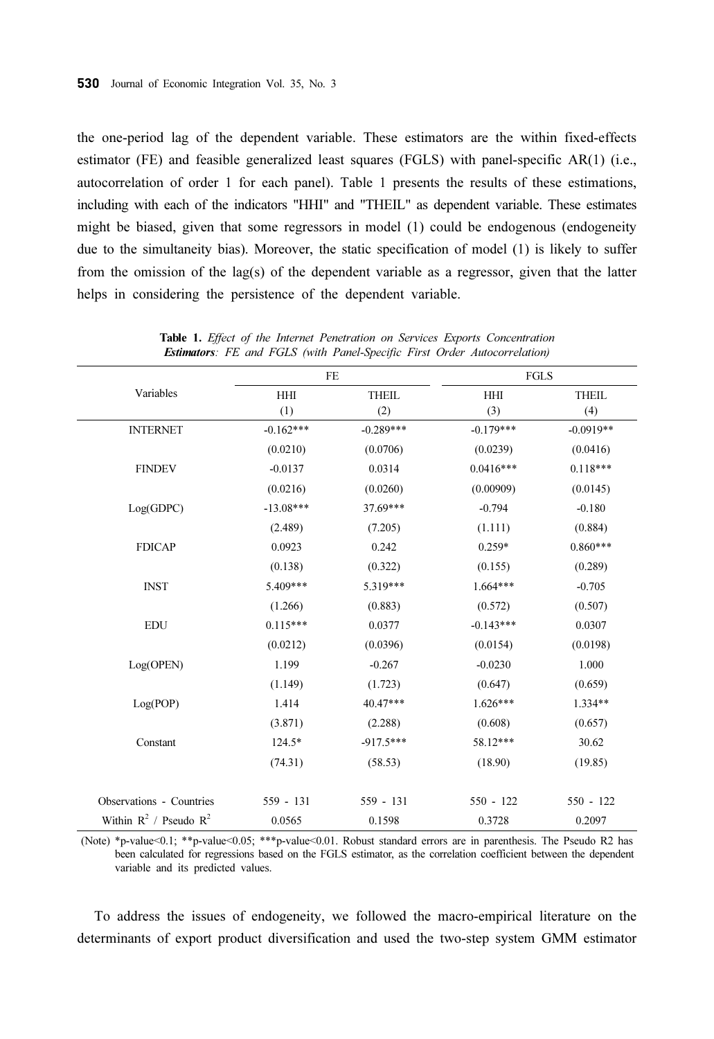the one-period lag of the dependent variable. These estimators are the within fixed-effects estimator (FE) and feasible generalized least squares (FGLS) with panel-specific AR(1) (i.e., autocorrelation of order 1 for each panel). Table 1 presents the results of these estimations, including with each of the indicators "HHI" and "THEIL" as dependent variable. These estimates might be biased, given that some regressors in model (1) could be endogenous (endogeneity due to the simultaneity bias). Moreover, the static specification of model (1) is likely to suffer from the omission of the lag(s) of the dependent variable as a regressor, given that the latter helps in considering the persistence of the dependent variable.

|                             | $\rm FE$    |              | FGLS        |              |
|-----------------------------|-------------|--------------|-------------|--------------|
| Variables                   | HHI         | <b>THEIL</b> | HHI         | <b>THEIL</b> |
|                             | (1)         | (2)          | (3)         | (4)          |
| <b>INTERNET</b>             | $-0.162***$ | $-0.289***$  | $-0.179***$ | $-0.0919**$  |
|                             | (0.0210)    | (0.0706)     | (0.0239)    | (0.0416)     |
| <b>FINDEV</b>               | $-0.0137$   | 0.0314       | $0.0416***$ | $0.118***$   |
|                             | (0.0216)    | (0.0260)     | (0.00909)   | (0.0145)     |
| Log(GDPC)                   | $-13.08***$ | 37.69***     | $-0.794$    | $-0.180$     |
|                             | (2.489)     | (7.205)      | (1.111)     | (0.884)      |
| <b>FDICAP</b>               | 0.0923      | 0.242        | $0.259*$    | $0.860***$   |
|                             | (0.138)     | (0.322)      | (0.155)     | (0.289)      |
| <b>INST</b>                 | 5.409***    | 5.319***     | $1.664***$  | $-0.705$     |
|                             | (1.266)     | (0.883)      | (0.572)     | (0.507)      |
| <b>EDU</b>                  | $0.115***$  | 0.0377       | $-0.143***$ | 0.0307       |
|                             | (0.0212)    | (0.0396)     | (0.0154)    | (0.0198)     |
| Log(OPEN)                   | 1.199       | $-0.267$     | $-0.0230$   | 1.000        |
|                             | (1.149)     | (1.723)      | (0.647)     | (0.659)      |
| Log(POP)                    | 1.414       | 40.47***     | $1.626***$  | 1.334**      |
|                             | (3.871)     | (2.288)      | (0.608)     | (0.657)      |
| Constant                    | 124.5*      | $-917.5***$  | 58.12***    | 30.62        |
|                             | (74.31)     | (58.53)      | (18.90)     | (19.85)      |
| Observations - Countries    | $559 - 131$ | 559 - 131    | $550 - 122$ | 550 - 122    |
| Within $R^2$ / Pseudo $R^2$ | 0.0565      | 0.1598       | 0.3728      | 0.2097       |

Table 1. Effect of the Internet Penetration on Services Exports Concentration Estimators: FE and FGLS (with Panel-Specific First Order Autocorrelation)

(Note) \*p-value<0.1; \*\*p-value<0.05; \*\*\*p-value<0.01. Robust standard errors are in parenthesis. The Pseudo R2 has been calculated for regressions based on the FGLS estimator, as the correlation coefficient between the dependent variable and its predicted values.

To address the issues of endogeneity, we followed the macro-empirical literature on the determinants of export product diversification and used the two-step system GMM estimator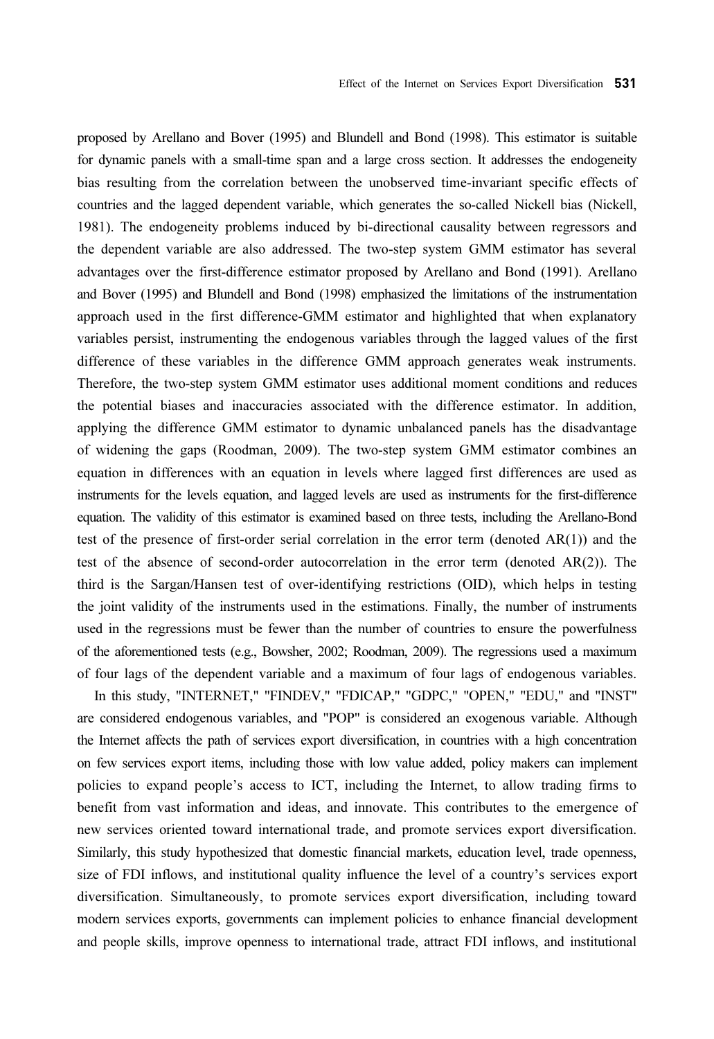proposed by Arellano and Bover (1995) and Blundell and Bond (1998). This estimator is suitable for dynamic panels with a small-time span and a large cross section. It addresses the endogeneity bias resulting from the correlation between the unobserved time-invariant specific effects of countries and the lagged dependent variable, which generates the so-called Nickell bias (Nickell, 1981). The endogeneity problems induced by bi-directional causality between regressors and the dependent variable are also addressed. The two-step system GMM estimator has several advantages over the first-difference estimator proposed by Arellano and Bond (1991). Arellano and Bover (1995) and Blundell and Bond (1998) emphasized the limitations of the instrumentation approach used in the first difference-GMM estimator and highlighted that when explanatory variables persist, instrumenting the endogenous variables through the lagged values of the first difference of these variables in the difference GMM approach generates weak instruments. Therefore, the two-step system GMM estimator uses additional moment conditions and reduces the potential biases and inaccuracies associated with the difference estimator. In addition, applying the difference GMM estimator to dynamic unbalanced panels has the disadvantage of widening the gaps (Roodman, 2009). The two-step system GMM estimator combines an equation in differences with an equation in levels where lagged first differences are used as instruments for the levels equation, and lagged levels are used as instruments for the first-difference equation. The validity of this estimator is examined based on three tests, including the Arellano-Bond test of the presence of first-order serial correlation in the error term (denoted AR(1)) and the test of the absence of second-order autocorrelation in the error term (denoted AR(2)). The third is the Sargan/Hansen test of over-identifying restrictions (OID), which helps in testing the joint validity of the instruments used in the estimations. Finally, the number of instruments used in the regressions must be fewer than the number of countries to ensure the powerfulness of the aforementioned tests (e.g., Bowsher, 2002; Roodman, 2009). The regressions used a maximum of four lags of the dependent variable and a maximum of four lags of endogenous variables.

In this study, "INTERNET," "FINDEV," "FDICAP," "GDPC," "OPEN," "EDU," and "INST" are considered endogenous variables, and "POP" is considered an exogenous variable. Although the Internet affects the path of services export diversification, in countries with a high concentration on few services export items, including those with low value added, policy makers can implement policies to expand people's access to ICT, including the Internet, to allow trading firms to benefit from vast information and ideas, and innovate. This contributes to the emergence of new services oriented toward international trade, and promote services export diversification. Similarly, this study hypothesized that domestic financial markets, education level, trade openness, size of FDI inflows, and institutional quality influence the level of a country's services export diversification. Simultaneously, to promote services export diversification, including toward modern services exports, governments can implement policies to enhance financial development and people skills, improve openness to international trade, attract FDI inflows, and institutional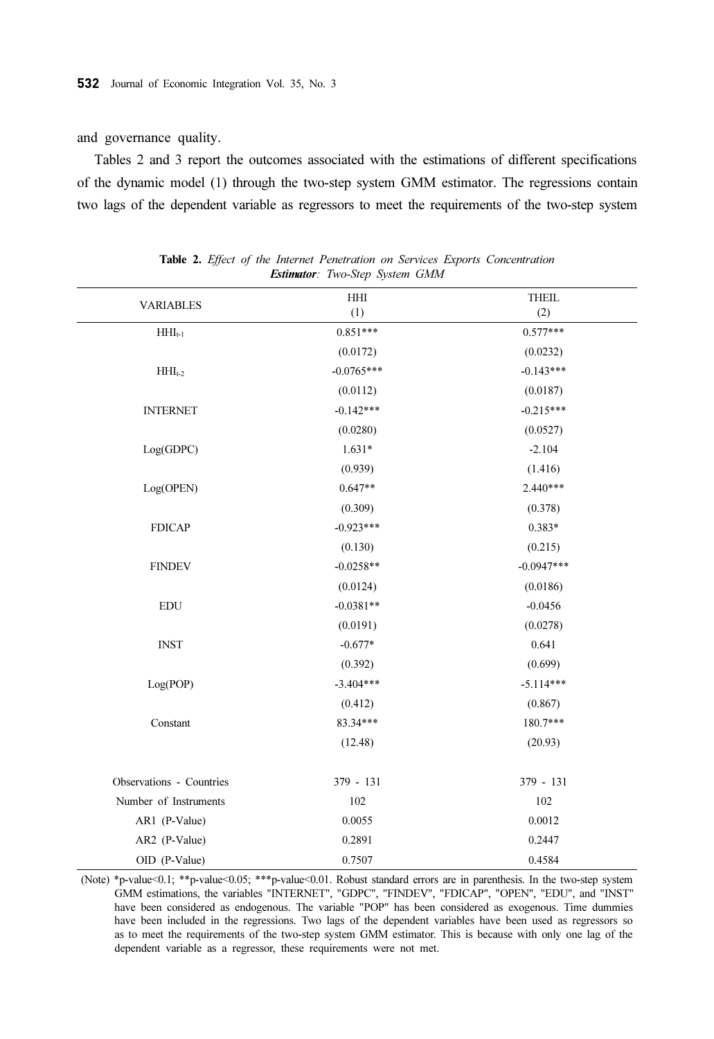and governance quality.

Tables 2 and 3 report the outcomes associated with the estimations of different specifications of the dynamic model (1) through the two-step system GMM estimator. The regressions contain two lags of the dependent variable as regressors to meet the requirements of the two-step system

| <b>VARIABLES</b>         | HHI          | <b>THEIL</b> |
|--------------------------|--------------|--------------|
|                          | (1)          | (2)          |
| $HHI_{t-1}$              | $0.851***$   | $0.577***$   |
|                          | (0.0172)     | (0.0232)     |
| $\rm HHI_{t\text{-}2}$   | $-0.0765***$ | $-0.143***$  |
|                          | (0.0112)     | (0.0187)     |
| <b>INTERNET</b>          | $-0.142***$  | $-0.215***$  |
|                          | (0.0280)     | (0.0527)     |
| Log(GDPC)                | $1.631*$     | $-2.104$     |
|                          | (0.939)      | (1.416)      |
| Log(OPEN)                | $0.647**$    | $2.440***$   |
|                          | (0.309)      | (0.378)      |
| <b>FDICAP</b>            | $-0.923***$  | $0.383*$     |
|                          | (0.130)      | (0.215)      |
| <b>FINDEV</b>            | $-0.0258**$  | $-0.0947***$ |
|                          | (0.0124)     | (0.0186)     |
| <b>EDU</b>               | $-0.0381**$  | $-0.0456$    |
|                          | (0.0191)     | (0.0278)     |
| <b>INST</b>              | $-0.677*$    | 0.641        |
|                          | (0.392)      | (0.699)      |
| Log(POP)                 | $-3.404***$  | $-5.114***$  |
|                          | (0.412)      | (0.867)      |
| Constant                 | 83.34***     | 180.7***     |
|                          | (12.48)      | (20.93)      |
| Observations - Countries | $379 - 131$  | $379 - 131$  |
| Number of Instruments    | 102          | 102          |
| AR1 (P-Value)            | 0.0055       | 0.0012       |
| AR2 (P-Value)            | 0.2891       | 0.2447       |
| OID (P-Value)            | 0.7507       | 0.4584       |

|  |  |  |                                       |  | <b>Table 2.</b> Effect of the Internet Penetration on Services Exports Concentration |
|--|--|--|---------------------------------------|--|--------------------------------------------------------------------------------------|
|  |  |  | <b>Estimator:</b> Two-Step System GMM |  |                                                                                      |

(Note) \*p-value<0.1; \*\*p-value<0.05; \*\*\*p-value<0.01. Robust standard errors are in parenthesis. In the two-step system GMM estimations, the variables "INTERNET", "GDPC", "FINDEV", "FDICAP", "OPEN", "EDU", and "INST" have been considered as endogenous. The variable "POP" has been considered as exogenous. Time dummies have been included in the regressions. Two lags of the dependent variables have been used as regressors so as to meet the requirements of the two-step system GMM estimator. This is because with only one lag of the dependent variable as a regressor, these requirements were not met.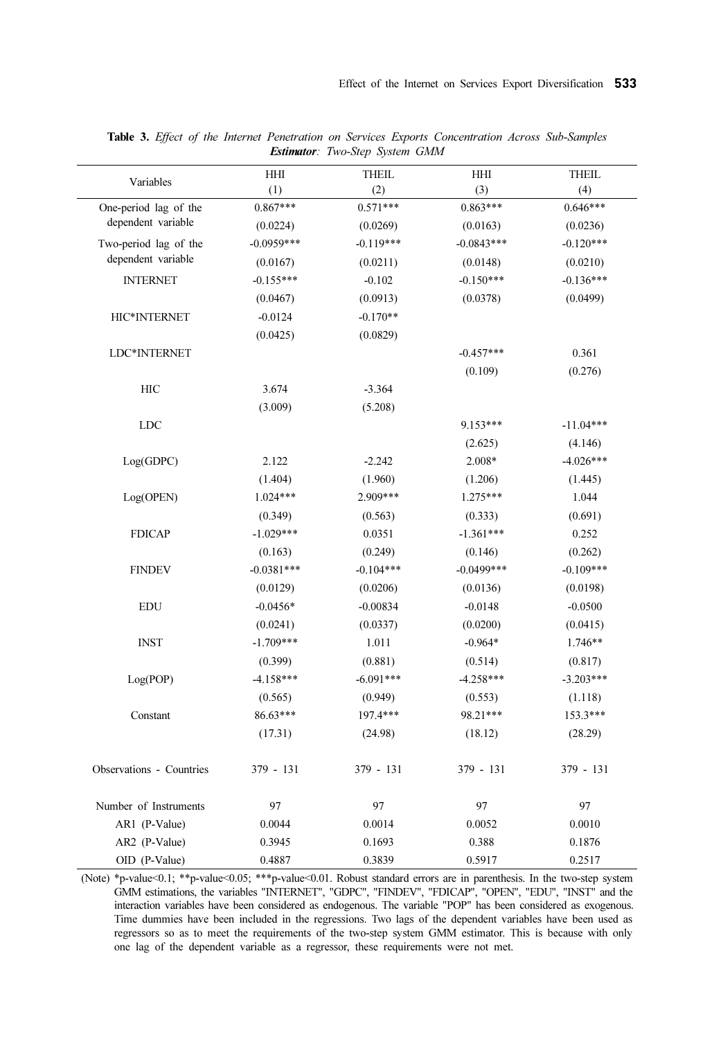| Variables                | <b>HHI</b><br>(1) | <b>THEIL</b><br>(2) | HHI<br>(3)   | <b>THEIL</b><br>(4) |
|--------------------------|-------------------|---------------------|--------------|---------------------|
| One-period lag of the    | $0.867***$        | $0.571***$          | $0.863***$   | $0.646***$          |
| dependent variable       | (0.0224)          | (0.0269)            | (0.0163)     | (0.0236)            |
| Two-period lag of the    | $-0.0959***$      | $-0.119***$         | $-0.0843***$ | $-0.120***$         |
| dependent variable       | (0.0167)          | (0.0211)            | (0.0148)     | (0.0210)            |
| <b>INTERNET</b>          | $-0.155***$       | $-0.102$            | $-0.150***$  | $-0.136***$         |
|                          | (0.0467)          | (0.0913)            | (0.0378)     | (0.0499)            |
| HIC*INTERNET             | $-0.0124$         | $-0.170**$          |              |                     |
|                          | (0.0425)          | (0.0829)            |              |                     |
| LDC*INTERNET             |                   |                     | $-0.457***$  | 0.361               |
|                          |                   |                     | (0.109)      | (0.276)             |
| HIC                      | 3.674             | $-3.364$            |              |                     |
|                          | (3.009)           | (5.208)             |              |                     |
| <b>LDC</b>               |                   |                     | 9.153***     | $-11.04***$         |
|                          |                   |                     | (2.625)      | (4.146)             |
| Log(GDPC)                | 2.122             | $-2.242$            | 2.008*       | $-4.026***$         |
|                          | (1.404)           | (1.960)             | (1.206)      | (1.445)             |
| Log(OPEN)                | $1.024***$        | 2.909***            | $1.275***$   | 1.044               |
|                          | (0.349)           | (0.563)             | (0.333)      | (0.691)             |
| <b>FDICAP</b>            | $-1.029***$       | 0.0351              | $-1.361***$  | 0.252               |
|                          | (0.163)           | (0.249)             | (0.146)      | (0.262)             |
| <b>FINDEV</b>            | $-0.0381***$      | $-0.104***$         | $-0.0499***$ | $-0.109***$         |
|                          | (0.0129)          | (0.0206)            | (0.0136)     | (0.0198)            |
| <b>EDU</b>               | $-0.0456*$        | $-0.00834$          | $-0.0148$    | $-0.0500$           |
|                          | (0.0241)          | (0.0337)            | (0.0200)     | (0.0415)            |
| <b>INST</b>              | $-1.709***$       | 1.011               | $-0.964*$    | 1.746**             |
|                          | (0.399)           | (0.881)             | (0.514)      | (0.817)             |
| Log(POP)                 | $-4.158***$       | $-6.091***$         | $-4.258***$  | $-3.203***$         |
|                          | (0.565)           | (0.949)             | (0.553)      | (1.118)             |
| Constant                 | 86.63***          | 197.4***            | 98.21***     | 153.3***            |
|                          | (17.31)           | (24.98)             | (18.12)      | (28.29)             |
| Observations - Countries | 379 - 131         | $379 - 131$         | 379 - 131    | $379 - 131$         |
| Number of Instruments    | 97                | 97                  | 97           | 97                  |
| AR1 (P-Value)            | 0.0044            | 0.0014              | 0.0052       | 0.0010              |
| AR2 (P-Value)            | 0.3945            | 0.1693              | 0.388        | 0.1876              |
| OID (P-Value)            | 0.4887            | 0.3839              | 0.5917       | 0.2517              |

Table 3. Effect of the Internet Penetration on Services Exports Concentration Across Sub-Samples Estimator: Two-Step System GMM

(Note) \*p-value<0.1; \*\*p-value<0.05; \*\*\*p-value<0.01. Robust standard errors are in parenthesis. In the two-step system GMM estimations, the variables "INTERNET", "GDPC", "FINDEV", "FDICAP", "OPEN", "EDU", "INST" and the interaction variables have been considered as endogenous. The variable "POP" has been considered as exogenous. Time dummies have been included in the regressions. Two lags of the dependent variables have been used as regressors so as to meet the requirements of the two-step system GMM estimator. This is because with only one lag of the dependent variable as a regressor, these requirements were not met.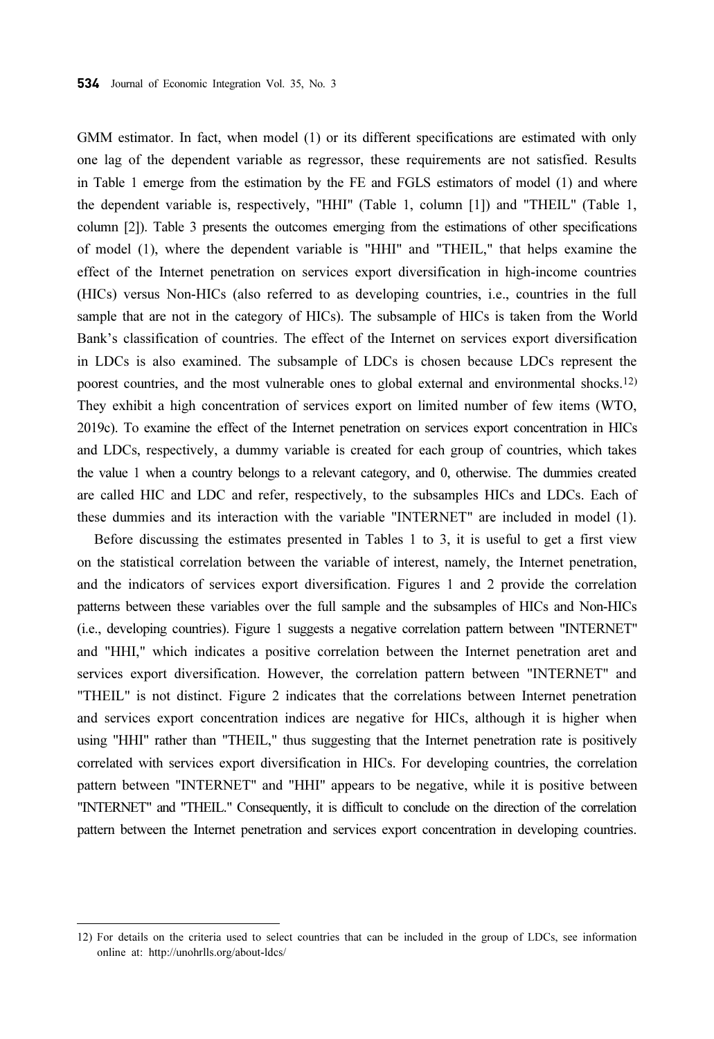GMM estimator. In fact, when model (1) or its different specifications are estimated with only one lag of the dependent variable as regressor, these requirements are not satisfied. Results in Table 1 emerge from the estimation by the FE and FGLS estimators of model (1) and where the dependent variable is, respectively, "HHI" (Table 1, column [1]) and "THEIL" (Table 1, column [2]). Table 3 presents the outcomes emerging from the estimations of other specifications of model (1), where the dependent variable is "HHI" and "THEIL," that helps examine the effect of the Internet penetration on services export diversification in high-income countries (HICs) versus Non-HICs (also referred to as developing countries, i.e., countries in the full sample that are not in the category of HICs). The subsample of HICs is taken from the World Bank's classification of countries. The effect of the Internet on services export diversification in LDCs is also examined. The subsample of LDCs is chosen because LDCs represent the poorest countries, and the most vulnerable ones to global external and environmental shocks.12) They exhibit a high concentration of services export on limited number of few items (WTO, 2019c). To examine the effect of the Internet penetration on services export concentration in HICs and LDCs, respectively, a dummy variable is created for each group of countries, which takes the value 1 when a country belongs to a relevant category, and 0, otherwise. The dummies created are called HIC and LDC and refer, respectively, to the subsamples HICs and LDCs. Each of these dummies and its interaction with the variable "INTERNET" are included in model (1).

Before discussing the estimates presented in Tables 1 to 3, it is useful to get a first view on the statistical correlation between the variable of interest, namely, the Internet penetration, and the indicators of services export diversification. Figures 1 and 2 provide the correlation patterns between these variables over the full sample and the subsamples of HICs and Non-HICs (i.e., developing countries). Figure 1 suggests a negative correlation pattern between "INTERNET" and "HHI," which indicates a positive correlation between the Internet penetration aret and services export diversification. However, the correlation pattern between "INTERNET" and "THEIL" is not distinct. Figure 2 indicates that the correlations between Internet penetration and services export concentration indices are negative for HICs, although it is higher when using "HHI" rather than "THEIL," thus suggesting that the Internet penetration rate is positively correlated with services export diversification in HICs. For developing countries, the correlation pattern between "INTERNET" and "HHI" appears to be negative, while it is positive between "INTERNET" and "THEIL." Consequently, it is difficult to conclude on the direction of the correlation pattern between the Internet penetration and services export concentration in developing countries.

<sup>12)</sup> For details on the criteria used to select countries that can be included in the group of LDCs, see information online at: http://unohrlls.org/about-ldcs/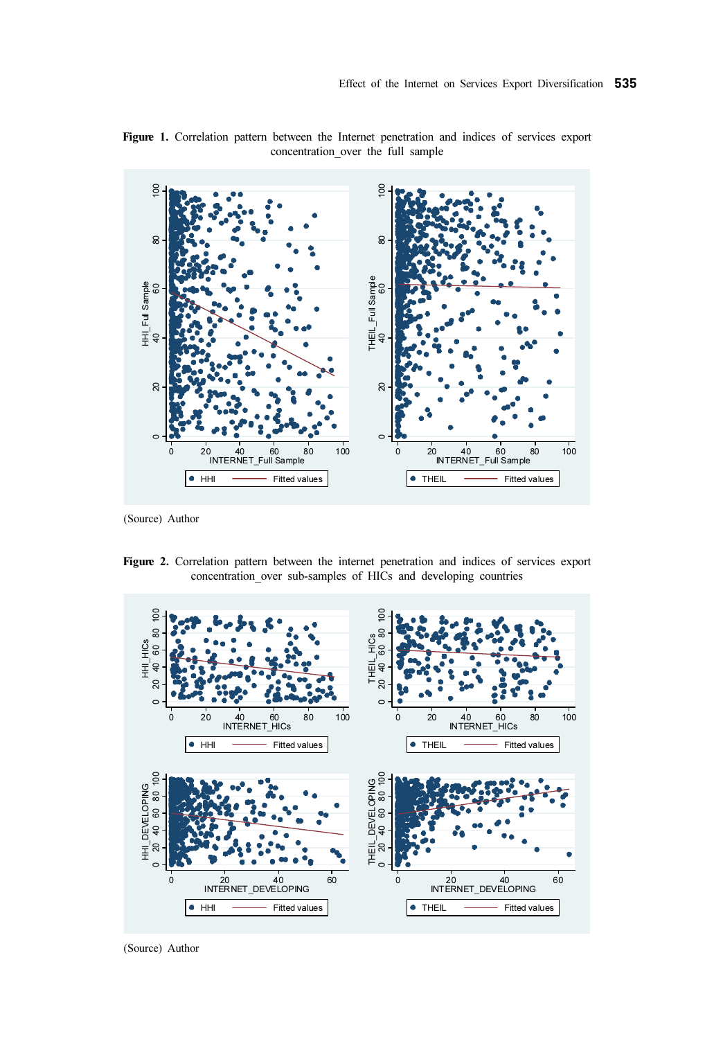

Figure 1. Correlation pattern between the Internet penetration and indices of services export concentration\_over the full sample

(Source) Author

Figure 2. Correlation pattern between the internet penetration and indices of services export concentration over sub-samples of HICs and developing countries



(Source) Author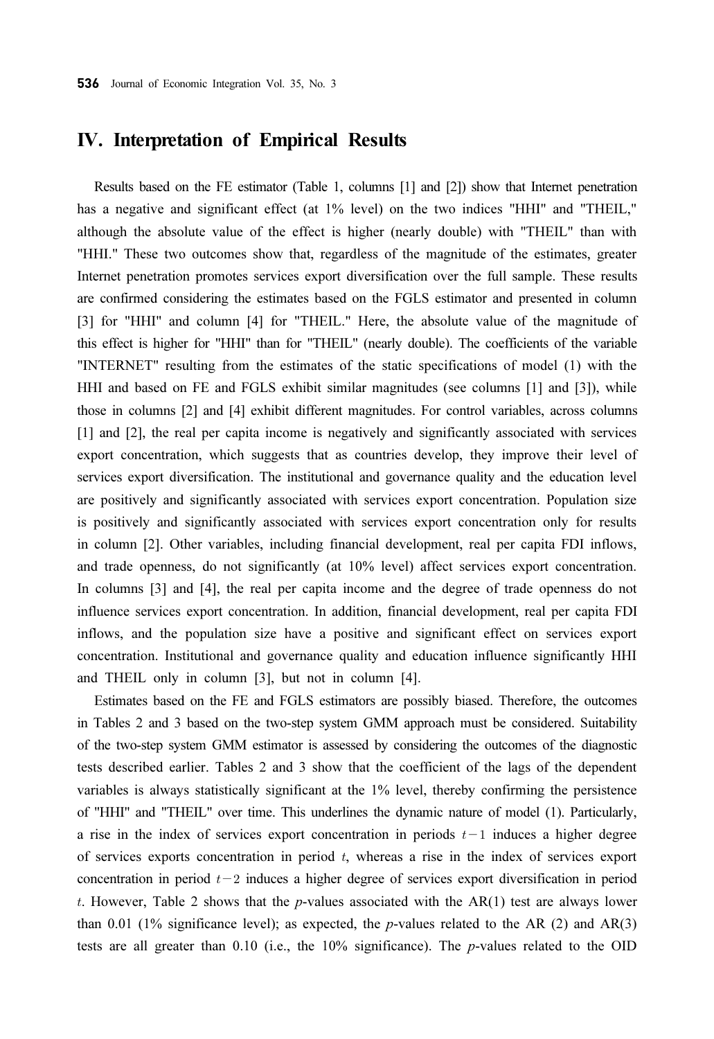### IV. Interpretation of Empirical Results

Results based on the FE estimator (Table 1, columns [1] and [2]) show that Internet penetration has a negative and significant effect (at 1% level) on the two indices "HHI" and "THEIL," although the absolute value of the effect is higher (nearly double) with "THEIL" than with "HHI." These two outcomes show that, regardless of the magnitude of the estimates, greater Internet penetration promotes services export diversification over the full sample. These results are confirmed considering the estimates based on the FGLS estimator and presented in column [3] for "HHI" and column [4] for "THEIL." Here, the absolute value of the magnitude of this effect is higher for "HHI" than for "THEIL" (nearly double). The coefficients of the variable "INTERNET" resulting from the estimates of the static specifications of model (1) with the HHI and based on FE and FGLS exhibit similar magnitudes (see columns [1] and [3]), while those in columns [2] and [4] exhibit different magnitudes. For control variables, across columns [1] and [2], the real per capita income is negatively and significantly associated with services export concentration, which suggests that as countries develop, they improve their level of services export diversification. The institutional and governance quality and the education level are positively and significantly associated with services export concentration. Population size is positively and significantly associated with services export concentration only for results in column [2]. Other variables, including financial development, real per capita FDI inflows, and trade openness, do not significantly (at 10% level) affect services export concentration. In columns [3] and [4], the real per capita income and the degree of trade openness do not influence services export concentration. In addition, financial development, real per capita FDI inflows, and the population size have a positive and significant effect on services export concentration. Institutional and governance quality and education influence significantly HHI and THEIL only in column [3], but not in column [4].

Estimates based on the FE and FGLS estimators are possibly biased. Therefore, the outcomes in Tables 2 and 3 based on the two-step system GMM approach must be considered. Suitability of the two-step system GMM estimator is assessed by considering the outcomes of the diagnostic tests described earlier. Tables 2 and 3 show that the coefficient of the lags of the dependent variables is always statistically significant at the 1% level, thereby confirming the persistence of "HHI" and "THEIL" over time. This underlines the dynamic nature of model (1). Particularly, a rise in the index of services export concentration in periods  $t-1$  induces a higher degree of services exports concentration in period  $t$ , whereas a rise in the index of services export concentration in period  $t-2$  induces a higher degree of services export diversification in period t. However, Table 2 shows that the p-values associated with the  $AR(1)$  test are always lower than 0.01 (1% significance level); as expected, the p-values related to the AR (2) and AR(3) tests are all greater than 0.10 (i.e., the  $10\%$  significance). The *p*-values related to the OID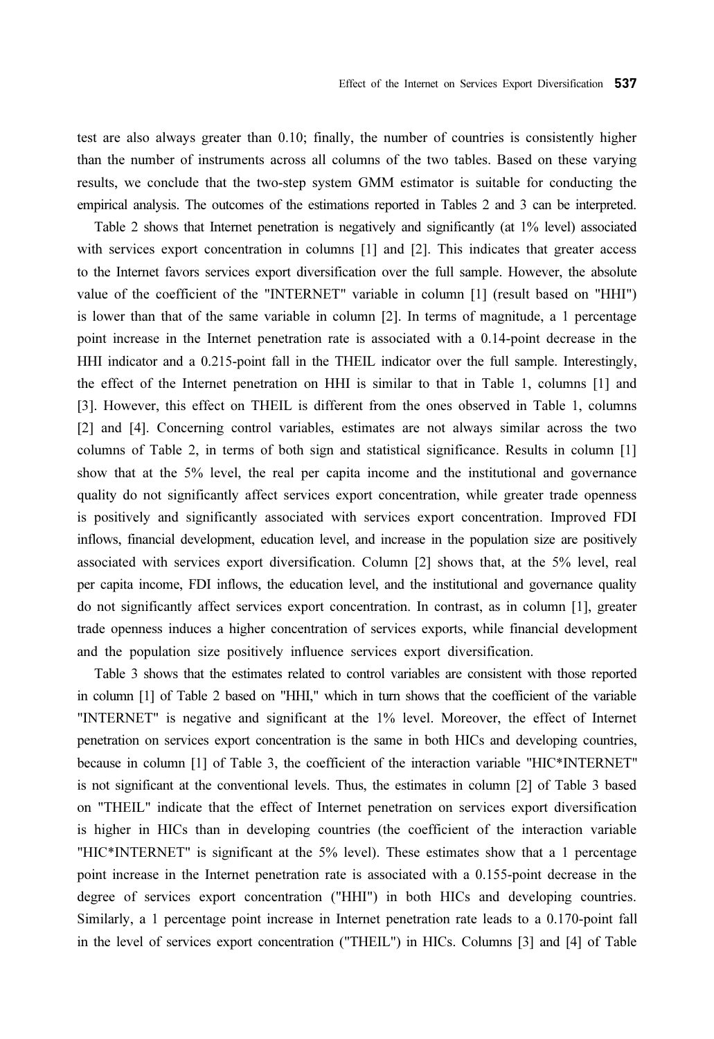test are also always greater than 0.10; finally, the number of countries is consistently higher than the number of instruments across all columns of the two tables. Based on these varying results, we conclude that the two-step system GMM estimator is suitable for conducting the empirical analysis. The outcomes of the estimations reported in Tables 2 and 3 can be interpreted.

Table 2 shows that Internet penetration is negatively and significantly (at 1% level) associated with services export concentration in columns [1] and [2]. This indicates that greater access to the Internet favors services export diversification over the full sample. However, the absolute value of the coefficient of the "INTERNET" variable in column [1] (result based on "HHI") is lower than that of the same variable in column [2]. In terms of magnitude, a 1 percentage point increase in the Internet penetration rate is associated with a 0.14-point decrease in the HHI indicator and a 0.215-point fall in the THEIL indicator over the full sample. Interestingly, the effect of the Internet penetration on HHI is similar to that in Table 1, columns [1] and [3]. However, this effect on THEIL is different from the ones observed in Table 1, columns [2] and [4]. Concerning control variables, estimates are not always similar across the two columns of Table 2, in terms of both sign and statistical significance. Results in column [1] show that at the 5% level, the real per capita income and the institutional and governance quality do not significantly affect services export concentration, while greater trade openness is positively and significantly associated with services export concentration. Improved FDI inflows, financial development, education level, and increase in the population size are positively associated with services export diversification. Column [2] shows that, at the 5% level, real per capita income, FDI inflows, the education level, and the institutional and governance quality do not significantly affect services export concentration. In contrast, as in column [1], greater trade openness induces a higher concentration of services exports, while financial development and the population size positively influence services export diversification.

Table 3 shows that the estimates related to control variables are consistent with those reported in column [1] of Table 2 based on "HHI," which in turn shows that the coefficient of the variable "INTERNET" is negative and significant at the 1% level. Moreover, the effect of Internet penetration on services export concentration is the same in both HICs and developing countries, because in column [1] of Table 3, the coefficient of the interaction variable "HIC\*INTERNET" is not significant at the conventional levels. Thus, the estimates in column [2] of Table 3 based on "THEIL" indicate that the effect of Internet penetration on services export diversification is higher in HICs than in developing countries (the coefficient of the interaction variable "HIC\*INTERNET" is significant at the 5% level). These estimates show that a 1 percentage point increase in the Internet penetration rate is associated with a 0.155-point decrease in the degree of services export concentration ("HHI") in both HICs and developing countries. Similarly, a 1 percentage point increase in Internet penetration rate leads to a 0.170-point fall in the level of services export concentration ("THEIL") in HICs. Columns [3] and [4] of Table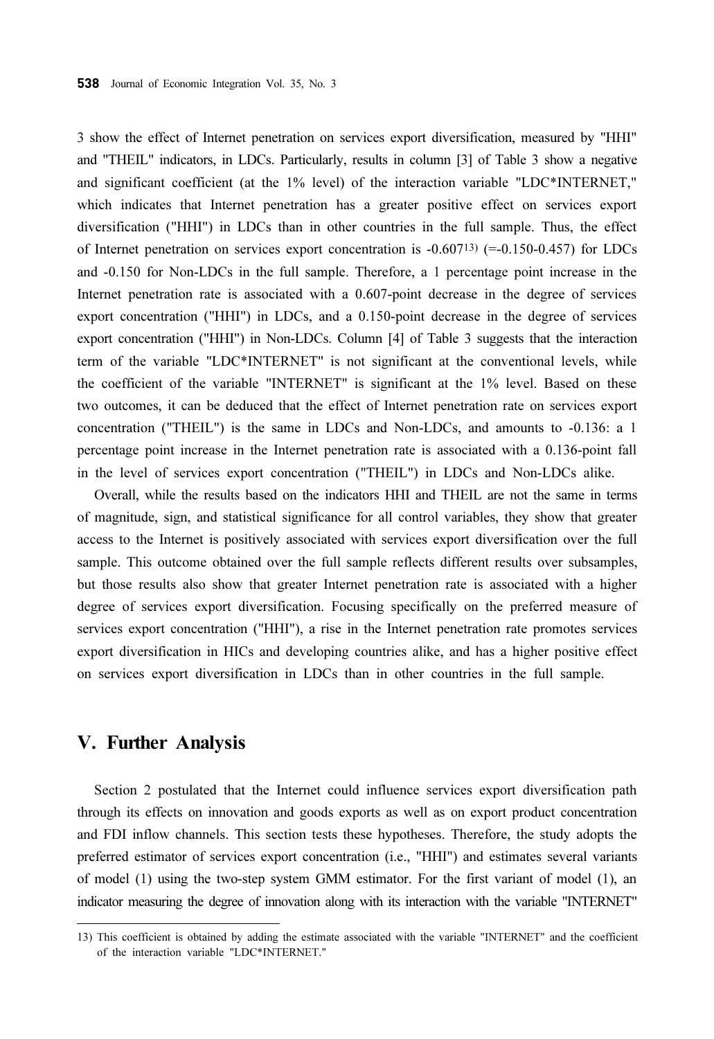3 show the effect of Internet penetration on services export diversification, measured by "HHI" and "THEIL" indicators, in LDCs. Particularly, results in column [3] of Table 3 show a negative and significant coefficient (at the 1% level) of the interaction variable "LDC\*INTERNET," which indicates that Internet penetration has a greater positive effect on services export diversification ("HHI") in LDCs than in other countries in the full sample. Thus, the effect of Internet penetration on services export concentration is  $-0.607^{13}$  (=-0.150-0.457) for LDCs and -0.150 for Non-LDCs in the full sample. Therefore, a 1 percentage point increase in the Internet penetration rate is associated with a 0.607-point decrease in the degree of services export concentration ("HHI") in LDCs, and a 0.150-point decrease in the degree of services export concentration ("HHI") in Non-LDCs. Column [4] of Table 3 suggests that the interaction term of the variable "LDC\*INTERNET" is not significant at the conventional levels, while the coefficient of the variable "INTERNET" is significant at the 1% level. Based on these two outcomes, it can be deduced that the effect of Internet penetration rate on services export concentration ("THEIL") is the same in LDCs and Non-LDCs, and amounts to -0.136: a 1 percentage point increase in the Internet penetration rate is associated with a 0.136-point fall in the level of services export concentration ("THEIL") in LDCs and Non-LDCs alike.

Overall, while the results based on the indicators HHI and THEIL are not the same in terms of magnitude, sign, and statistical significance for all control variables, they show that greater access to the Internet is positively associated with services export diversification over the full sample. This outcome obtained over the full sample reflects different results over subsamples, but those results also show that greater Internet penetration rate is associated with a higher degree of services export diversification. Focusing specifically on the preferred measure of services export concentration ("HHI"), a rise in the Internet penetration rate promotes services export diversification in HICs and developing countries alike, and has a higher positive effect on services export diversification in LDCs than in other countries in the full sample.

## V. Further Analysis

Section 2 postulated that the Internet could influence services export diversification path through its effects on innovation and goods exports as well as on export product concentration and FDI inflow channels. This section tests these hypotheses. Therefore, the study adopts the preferred estimator of services export concentration (i.e., "HHI") and estimates several variants of model (1) using the two-step system GMM estimator. For the first variant of model (1), an indicator measuring the degree of innovation along with its interaction with the variable "INTERNET"

<sup>13)</sup> This coefficient is obtained by adding the estimate associated with the variable "INTERNET" and the coefficient of the interaction variable "LDC\*INTERNET."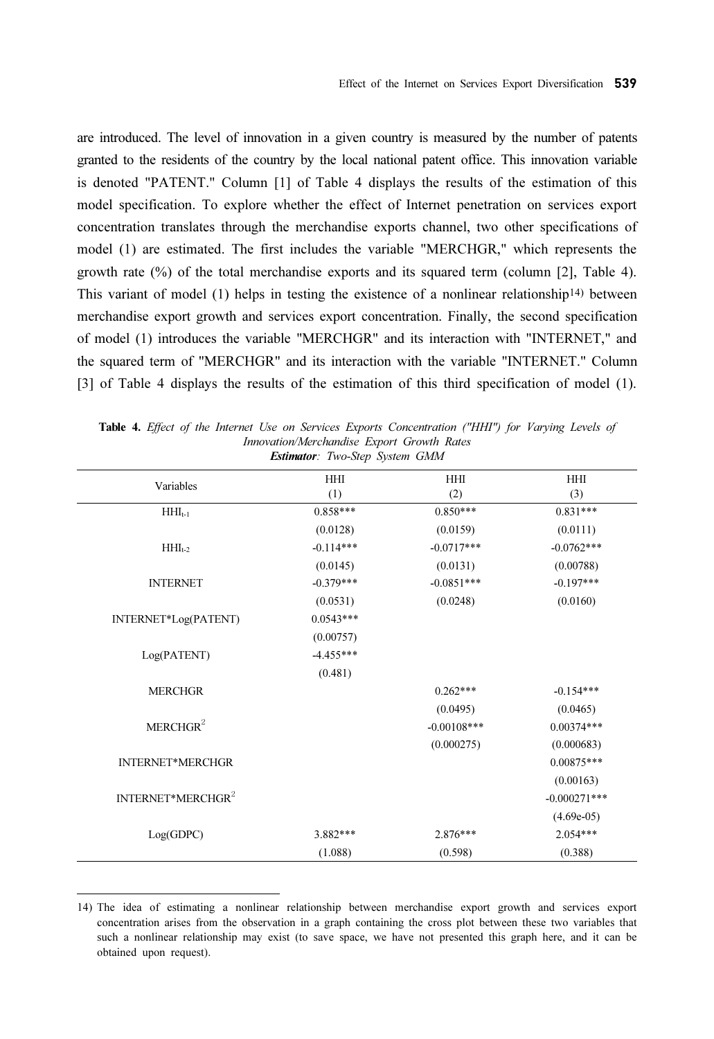are introduced. The level of innovation in a given country is measured by the number of patents granted to the residents of the country by the local national patent office. This innovation variable is denoted "PATENT." Column [1] of Table 4 displays the results of the estimation of this model specification. To explore whether the effect of Internet penetration on services export concentration translates through the merchandise exports channel, two other specifications of model (1) are estimated. The first includes the variable "MERCHGR," which represents the growth rate  $(\%)$  of the total merchandise exports and its squared term (column [2], Table 4). This variant of model (1) helps in testing the existence of a nonlinear relationship<sup>14)</sup> between merchandise export growth and services export concentration. Finally, the second specification of model (1) introduces the variable "MERCHGR" and its interaction with "INTERNET," and the squared term of "MERCHGR" and its interaction with the variable "INTERNET." Column [3] of Table 4 displays the results of the estimation of this third specification of model (1).

|                               | HHI         | HHI           | <b>HHI</b>     |
|-------------------------------|-------------|---------------|----------------|
| Variables                     | (1)         | (2)           | (3)            |
| $HHI_{t-1}$                   | $0.858***$  | $0.850***$    | $0.831***$     |
|                               | (0.0128)    | (0.0159)      | (0.0111)       |
| $HH_{t-2}$                    | $-0.114***$ | $-0.0717***$  | $-0.0762***$   |
|                               | (0.0145)    | (0.0131)      | (0.00788)      |
| <b>INTERNET</b>               | $-0.379***$ | $-0.0851***$  | $-0.197***$    |
|                               | (0.0531)    | (0.0248)      | (0.0160)       |
| INTERNET*Log(PATENT)          | $0.0543***$ |               |                |
|                               | (0.00757)   |               |                |
| Log(PATENT)                   | $-4.455***$ |               |                |
|                               | (0.481)     |               |                |
| <b>MERCHGR</b>                |             | $0.262***$    | $-0.154***$    |
|                               |             | (0.0495)      | (0.0465)       |
| MERCHGR <sup>2</sup>          |             | $-0.00108***$ | $0.00374***$   |
|                               |             | (0.000275)    | (0.000683)     |
| <b>INTERNET*MERCHGR</b>       |             |               | $0.00875***$   |
|                               |             |               | (0.00163)      |
| INTERNET*MERCHGR <sup>2</sup> |             |               | $-0.000271***$ |
|                               |             |               | $(4.69e-05)$   |
| Log(GDPC)                     | 3.882 ***   | $2.876***$    | $2.054***$     |
|                               | (1.088)     | (0.598)       | (0.388)        |

Table 4. Effect of the Internet Use on Services Exports Concentration ("HHI") for Varying Levels of Innovation/Merchandise Export Growth Rates Estimator: Two-Step System GMM

<sup>14)</sup> The idea of estimating a nonlinear relationship between merchandise export growth and services export concentration arises from the observation in a graph containing the cross plot between these two variables that such a nonlinear relationship may exist (to save space, we have not presented this graph here, and it can be obtained upon request).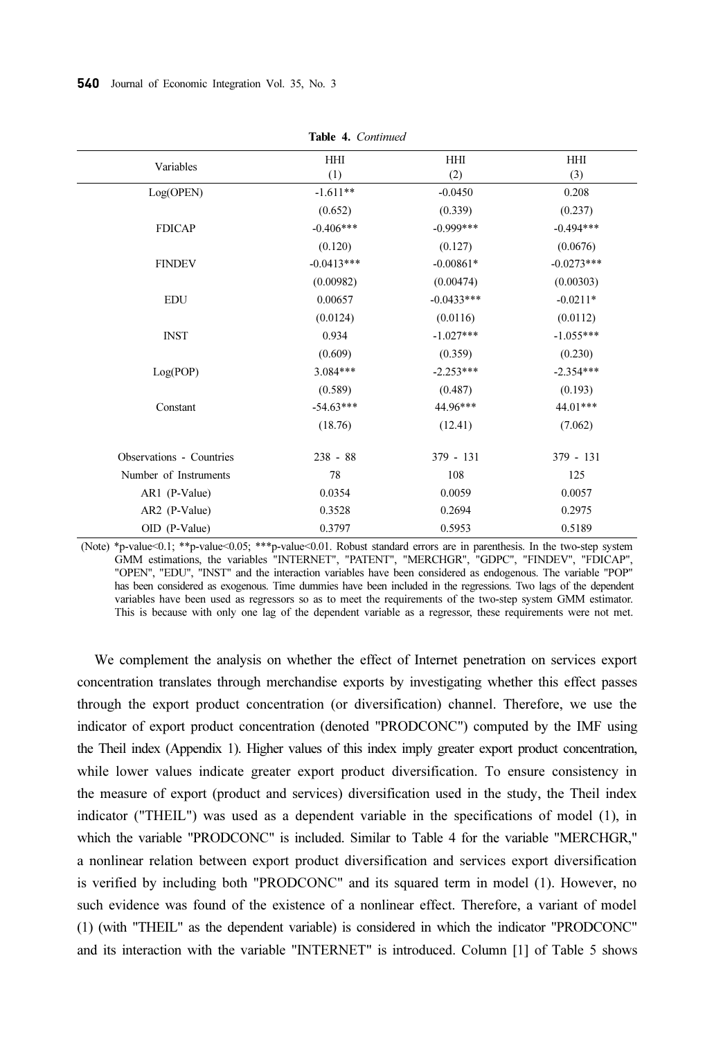| Variables                | <b>HHI</b>   | <b>HHI</b>   | <b>HHI</b>   |
|--------------------------|--------------|--------------|--------------|
|                          | (1)          | (2)          | (3)          |
| Log(OPEN)                | $-1.611**$   | $-0.0450$    | 0.208        |
|                          | (0.652)      | (0.339)      | (0.237)      |
| <b>FDICAP</b>            | $-0.406***$  | $-0.999***$  | $-0.494***$  |
|                          | (0.120)      | (0.127)      | (0.0676)     |
| <b>FINDEV</b>            | $-0.0413***$ | $-0.00861*$  | $-0.0273***$ |
|                          | (0.00982)    | (0.00474)    | (0.00303)    |
| <b>EDU</b>               | 0.00657      | $-0.0433***$ | $-0.0211*$   |
|                          | (0.0124)     | (0.0116)     | (0.0112)     |
| <b>INST</b>              | 0.934        | $-1.027***$  | $-1.055***$  |
|                          | (0.609)      | (0.359)      | (0.230)      |
| Log(POP)                 | $3.084***$   | $-2.253***$  | $-2.354***$  |
|                          | (0.589)      | (0.487)      | (0.193)      |
| Constant                 | $-54.63***$  | 44.96***     | 44.01***     |
|                          | (18.76)      | (12.41)      | (7.062)      |
| Observations - Countries | $238 - 88$   | $379 - 131$  | $379 - 131$  |
| Number of Instruments    | 78           | 108          | 125          |
| AR1 (P-Value)            | 0.0354       | 0.0059       | 0.0057       |
| AR2 (P-Value)            | 0.3528       | 0.2694       | 0.2975       |
| OID (P-Value)            | 0.3797       | 0.5953       | 0.5189       |
|                          |              |              |              |

Table 4. Continued

(Note) \*p-value<0.1; \*\*p-value<0.05; \*\*\*p-value<0.01. Robust standard errors are in parenthesis. In the two-step system GMM estimations, the variables "INTERNET", "PATENT", "MERCHGR", "GDPC", "FINDEV", "FDICAP", "OPEN", "EDU", "INST" and the interaction variables have been considered as endogenous. The variable "POP" has been considered as exogenous. Time dummies have been included in the regressions. Two lags of the dependent variables have been used as regressors so as to meet the requirements of the two-step system GMM estimator. This is because with only one lag of the dependent variable as a regressor, these requirements were not met.

We complement the analysis on whether the effect of Internet penetration on services export concentration translates through merchandise exports by investigating whether this effect passes through the export product concentration (or diversification) channel. Therefore, we use the indicator of export product concentration (denoted "PRODCONC") computed by the IMF using the Theil index (Appendix 1). Higher values of this index imply greater export product concentration, while lower values indicate greater export product diversification. To ensure consistency in the measure of export (product and services) diversification used in the study, the Theil index indicator ("THEIL") was used as a dependent variable in the specifications of model (1), in which the variable "PRODCONC" is included. Similar to Table 4 for the variable "MERCHGR," a nonlinear relation between export product diversification and services export diversification is verified by including both "PRODCONC" and its squared term in model (1). However, no such evidence was found of the existence of a nonlinear effect. Therefore, a variant of model (1) (with "THEIL" as the dependent variable) is considered in which the indicator "PRODCONC" and its interaction with the variable "INTERNET" is introduced. Column [1] of Table 5 shows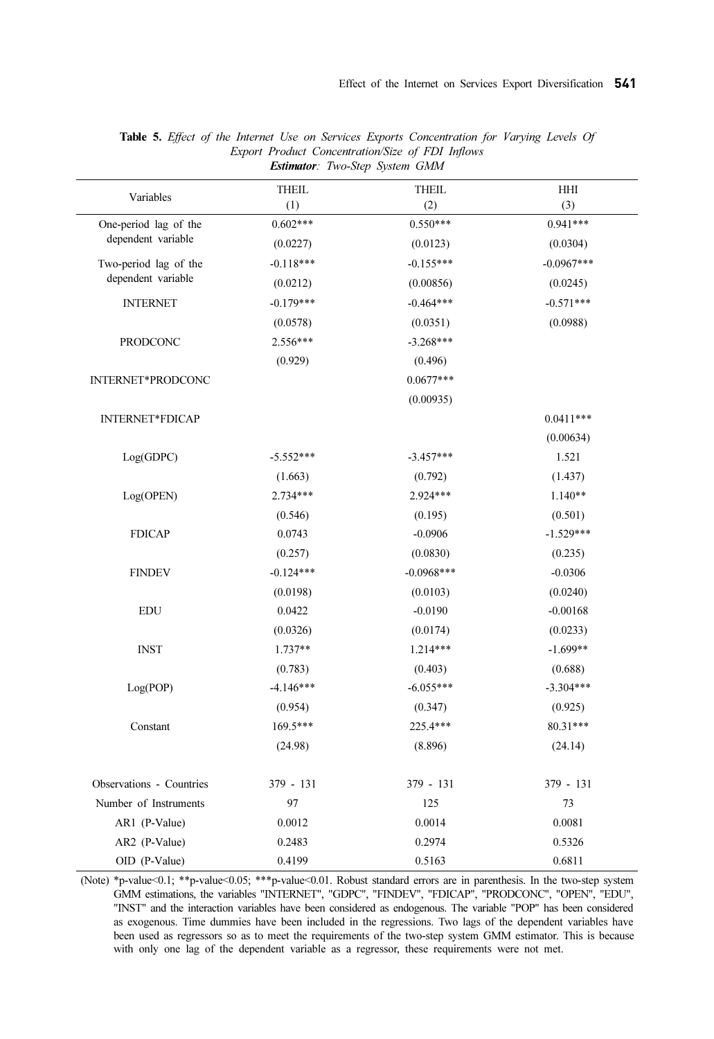| Variables                                   | <b>THEIL</b> | <b>THEIL</b> | HHI          |
|---------------------------------------------|--------------|--------------|--------------|
|                                             | (1)          | (2)          | (3)          |
| One-period lag of the<br>dependent variable | $0.602***$   | $0.550***$   | $0.941***$   |
|                                             | (0.0227)     | (0.0123)     | (0.0304)     |
| Two-period lag of the                       | $-0.118***$  | $-0.155***$  | $-0.0967***$ |
| dependent variable                          | (0.0212)     | (0.00856)    | (0.0245)     |
| <b>INTERNET</b>                             | $-0.179***$  | $-0.464***$  | $-0.571***$  |
|                                             | (0.0578)     | (0.0351)     | (0.0988)     |
| <b>PRODCONC</b>                             | $2.556***$   | $-3.268***$  |              |
|                                             | (0.929)      | (0.496)      |              |
| INTERNET*PRODCONC                           |              | $0.0677***$  |              |
|                                             |              | (0.00935)    |              |
| <b>INTERNET*FDICAP</b>                      |              |              | $0.0411***$  |
|                                             |              |              | (0.00634)    |
| Log(GDPC)                                   | $-5.552***$  | $-3.457***$  | 1.521        |
|                                             | (1.663)      | (0.792)      | (1.437)      |
| Log(OPEN)                                   | $2.734***$   | 2.924***     | $1.140**$    |
|                                             | (0.546)      | (0.195)      | (0.501)      |
| <b>FDICAP</b>                               | 0.0743       | $-0.0906$    | $-1.529***$  |
|                                             | (0.257)      | (0.0830)     | (0.235)      |
| <b>FINDEV</b>                               | $-0.124***$  | $-0.0968***$ | $-0.0306$    |
|                                             | (0.0198)     | (0.0103)     | (0.0240)     |
| <b>EDU</b>                                  | 0.0422       | $-0.0190$    | $-0.00168$   |
|                                             | (0.0326)     | (0.0174)     | (0.0233)     |
| <b>INST</b>                                 | $1.737**$    | $1.214***$   | $-1.699**$   |
|                                             | (0.783)      | (0.403)      | (0.688)      |
| Log(POP)                                    | $-4.146***$  | $-6.055***$  | $-3.304***$  |
|                                             | (0.954)      | (0.347)      | (0.925)      |
| Constant                                    | $169.5***$   | 225.4***     | 80.31***     |
|                                             | (24.98)      | (8.896)      | (24.14)      |
| Observations - Countries                    | 379 - 131    | $379 - 131$  | 379 - 131    |
| Number of Instruments                       | 97           | 125          | 73           |
| AR1 (P-Value)                               | 0.0012       | 0.0014       | 0.0081       |
| AR2 (P-Value)                               | 0.2483       | 0.2974       | 0.5326       |
| OID (P-Value)                               | 0.4199       | 0.5163       | 0.6811       |

Table 5. Effect of the Internet Use on Services Exports Concentration for Varying Levels Of Export Product Concentration/Size of FDI Inflows Estimator: Two-Step System GMM

(Note) \*p-value<0.1; \*\*p-value<0.05; \*\*\*p-value<0.01. Robust standard errors are in parenthesis. In the two-step system GMM estimations, the variables "INTERNET", "GDPC", "FINDEV", "FDICAP", "PRODCONC", "OPEN", "EDU", "INST" and the interaction variables have been considered as endogenous. The variable "POP" has been considered as exogenous. Time dummies have been included in the regressions. Two lags of the dependent variables have been used as regressors so as to meet the requirements of the two-step system GMM estimator. This is because with only one lag of the dependent variable as a regressor, these requirements were not met.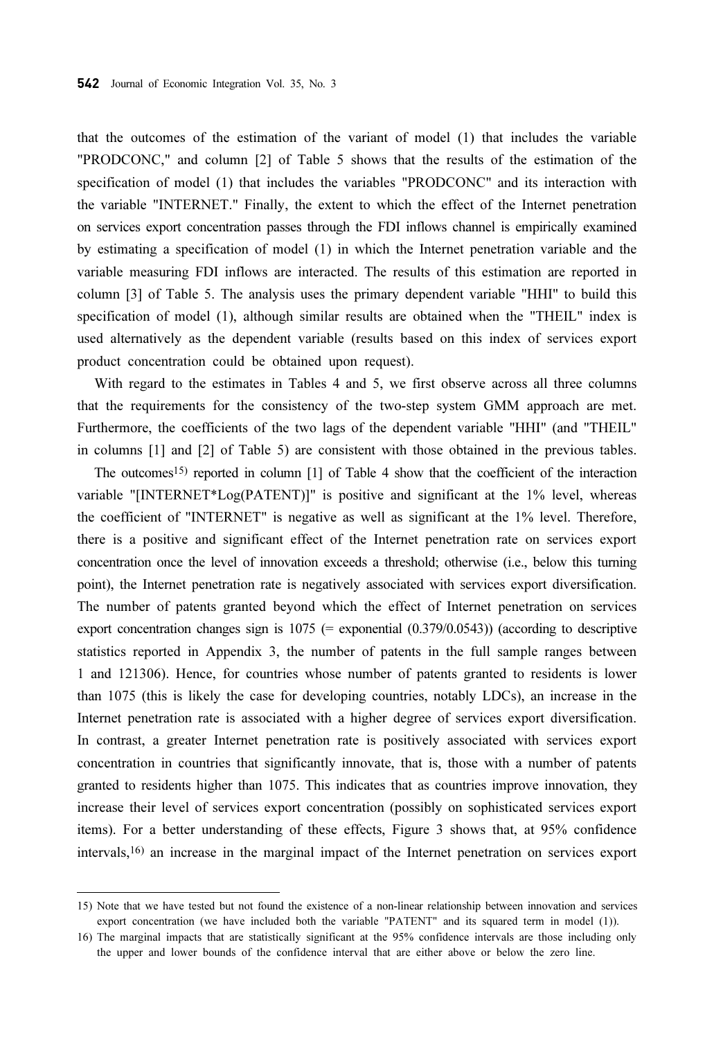that the outcomes of the estimation of the variant of model (1) that includes the variable "PRODCONC," and column [2] of Table 5 shows that the results of the estimation of the specification of model (1) that includes the variables "PRODCONC" and its interaction with the variable "INTERNET." Finally, the extent to which the effect of the Internet penetration on services export concentration passes through the FDI inflows channel is empirically examined by estimating a specification of model (1) in which the Internet penetration variable and the variable measuring FDI inflows are interacted. The results of this estimation are reported in column [3] of Table 5. The analysis uses the primary dependent variable "HHI" to build this specification of model (1), although similar results are obtained when the "THEIL" index is used alternatively as the dependent variable (results based on this index of services export product concentration could be obtained upon request).

With regard to the estimates in Tables 4 and 5, we first observe across all three columns that the requirements for the consistency of the two-step system GMM approach are met. Furthermore, the coefficients of the two lags of the dependent variable "HHI" (and "THEIL" in columns [1] and [2] of Table 5) are consistent with those obtained in the previous tables.

The outcomes15) reported in column [1] of Table 4 show that the coefficient of the interaction variable "[INTERNET\*Log(PATENT)]" is positive and significant at the 1% level, whereas the coefficient of "INTERNET" is negative as well as significant at the 1% level. Therefore, there is a positive and significant effect of the Internet penetration rate on services export concentration once the level of innovation exceeds a threshold; otherwise (i.e., below this turning point), the Internet penetration rate is negatively associated with services export diversification. The number of patents granted beyond which the effect of Internet penetration on services export concentration changes sign is  $1075$  (= exponential  $(0.379/0.0543)$ ) (according to descriptive statistics reported in Appendix 3, the number of patents in the full sample ranges between 1 and 121306). Hence, for countries whose number of patents granted to residents is lower than 1075 (this is likely the case for developing countries, notably LDCs), an increase in the Internet penetration rate is associated with a higher degree of services export diversification. In contrast, a greater Internet penetration rate is positively associated with services export concentration in countries that significantly innovate, that is, those with a number of patents granted to residents higher than 1075. This indicates that as countries improve innovation, they increase their level of services export concentration (possibly on sophisticated services export items). For a better understanding of these effects, Figure 3 shows that, at 95% confidence intervals,16) an increase in the marginal impact of the Internet penetration on services export

<sup>15)</sup> Note that we have tested but not found the existence of a non-linear relationship between innovation and services export concentration (we have included both the variable "PATENT" and its squared term in model (1)).

<sup>16)</sup> The marginal impacts that are statistically significant at the 95% confidence intervals are those including only the upper and lower bounds of the confidence interval that are either above or below the zero line.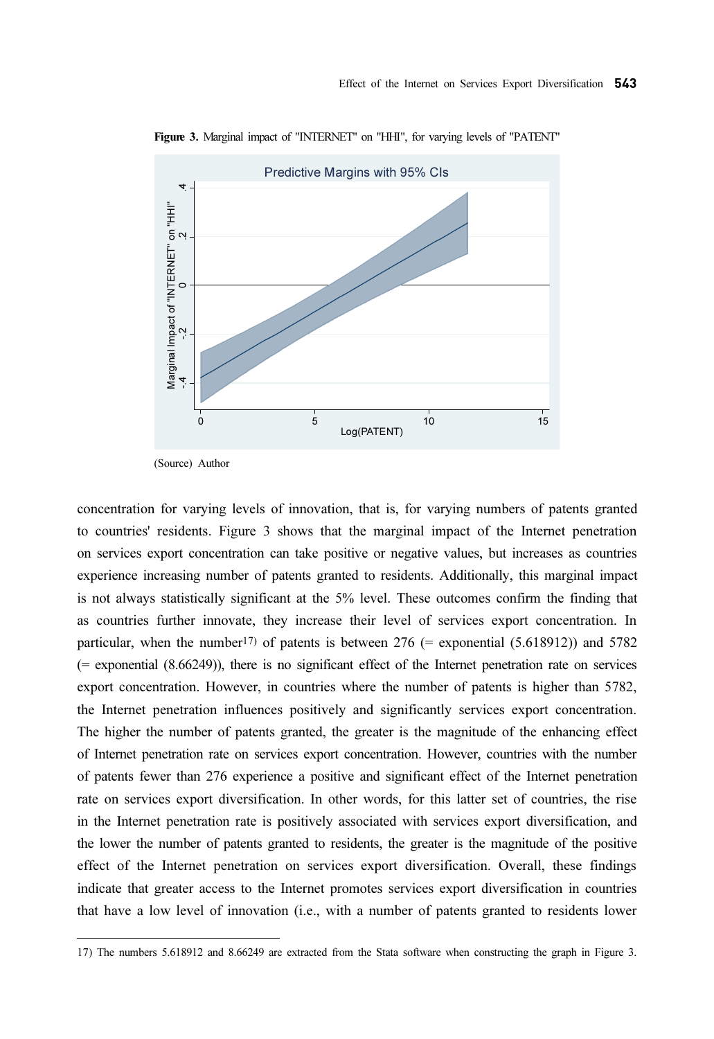

Figure 3. Marginal impact of "INTERNET" on "HHI", for varying levels of "PATENT"

(Source) Author

concentration for varying levels of innovation, that is, for varying numbers of patents granted to countries' residents. Figure 3 shows that the marginal impact of the Internet penetration on services export concentration can take positive or negative values, but increases as countries experience increasing number of patents granted to residents. Additionally, this marginal impact is not always statistically significant at the 5% level. These outcomes confirm the finding that as countries further innovate, they increase their level of services export concentration. In particular, when the number<sup>17)</sup> of patents is between 276 (= exponential (5.618912)) and 5782 (= exponential (8.66249)), there is no significant effect of the Internet penetration rate on services export concentration. However, in countries where the number of patents is higher than 5782, the Internet penetration influences positively and significantly services export concentration. The higher the number of patents granted, the greater is the magnitude of the enhancing effect of Internet penetration rate on services export concentration. However, countries with the number of patents fewer than 276 experience a positive and significant effect of the Internet penetration rate on services export diversification. In other words, for this latter set of countries, the rise in the Internet penetration rate is positively associated with services export diversification, and the lower the number of patents granted to residents, the greater is the magnitude of the positive effect of the Internet penetration on services export diversification. Overall, these findings indicate that greater access to the Internet promotes services export diversification in countries that have a low level of innovation (i.e., with a number of patents granted to residents lower The number of particles is the number of particles and statistical when constrained the software software when the statistical software when  $\frac{1}{2}$  and 8.662499 are extracted from the state of the state of the state so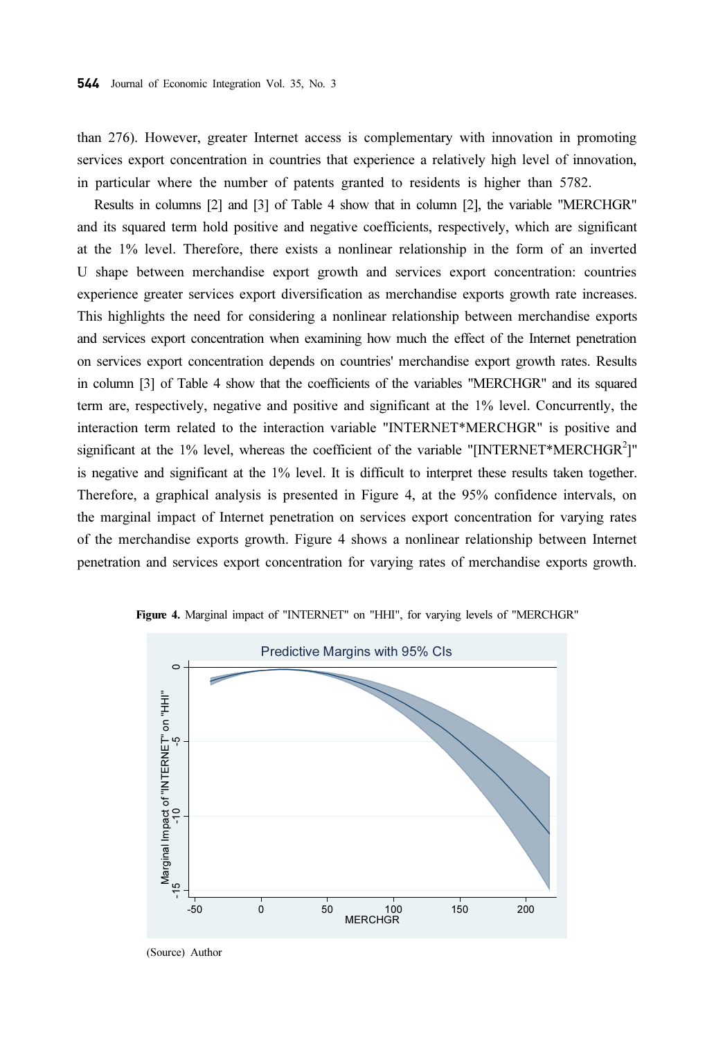than 276). However, greater Internet access is complementary with innovation in promoting services export concentration in countries that experience a relatively high level of innovation, in particular where the number of patents granted to residents is higher than 5782.

Results in columns [2] and [3] of Table 4 show that in column [2], the variable "MERCHGR" and its squared term hold positive and negative coefficients, respectively, which are significant at the 1% level. Therefore, there exists a nonlinear relationship in the form of an inverted U shape between merchandise export growth and services export concentration: countries experience greater services export diversification as merchandise exports growth rate increases. This highlights the need for considering a nonlinear relationship between merchandise exports and services export concentration when examining how much the effect of the Internet penetration on services export concentration depends on countries' merchandise export growth rates. Results in column [3] of Table 4 show that the coefficients of the variables "MERCHGR" and its squared term are, respectively, negative and positive and significant at the 1% level. Concurrently, the interaction term related to the interaction variable "INTERNET\*MERCHGR" is positive and significant at the 1% level, whereas the coefficient of the variable "INTERNET\*MERCHGR<sup>2</sup>]" is negative and significant at the 1% level. It is difficult to interpret these results taken together. Therefore, a graphical analysis is presented in Figure 4, at the 95% confidence intervals, on the marginal impact of Internet penetration on services export concentration for varying rates of the merchandise exports growth. Figure 4 shows a nonlinear relationship between Internet penetration and services export concentration for varying rates of merchandise exports growth.



Figure 4. Marginal impact of "INTERNET" on "HHI", for varying levels of "MERCHGR"

(Source) Author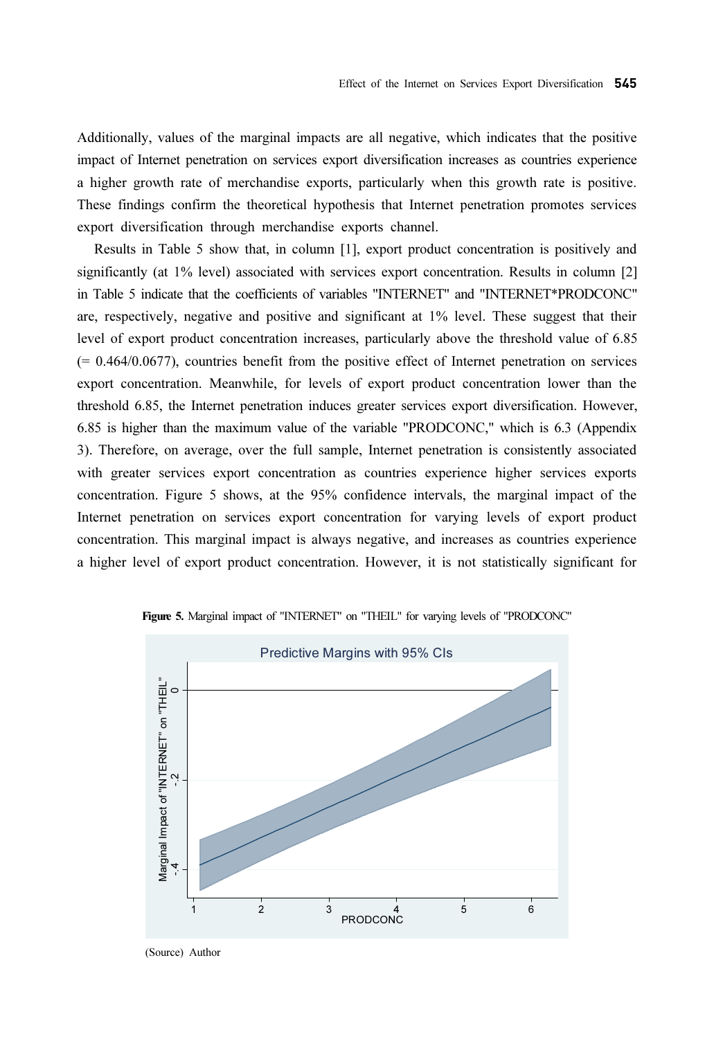Additionally, values of the marginal impacts are all negative, which indicates that the positive impact of Internet penetration on services export diversification increases as countries experience a higher growth rate of merchandise exports, particularly when this growth rate is positive. These findings confirm the theoretical hypothesis that Internet penetration promotes services export diversification through merchandise exports channel.

Results in Table 5 show that, in column [1], export product concentration is positively and significantly (at 1% level) associated with services export concentration. Results in column [2] in Table 5 indicate that the coefficients of variables "INTERNET" and "INTERNET\*PRODCONC" are, respectively, negative and positive and significant at 1% level. These suggest that their level of export product concentration increases, particularly above the threshold value of 6.85 (= 0.464/0.0677), countries benefit from the positive effect of Internet penetration on services export concentration. Meanwhile, for levels of export product concentration lower than the threshold 6.85, the Internet penetration induces greater services export diversification. However, 6.85 is higher than the maximum value of the variable "PRODCONC," which is 6.3 (Appendix 3). Therefore, on average, over the full sample, Internet penetration is consistently associated with greater services export concentration as countries experience higher services exports concentration. Figure 5 shows, at the 95% confidence intervals, the marginal impact of the Internet penetration on services export concentration for varying levels of export product concentration. This marginal impact is always negative, and increases as countries experience a higher level of export product concentration. However, it is not statistically significant for



Figure 5. Marginal impact of "INTERNET" on "THEIL" for varying levels of "PRODCONC"

(Source) Author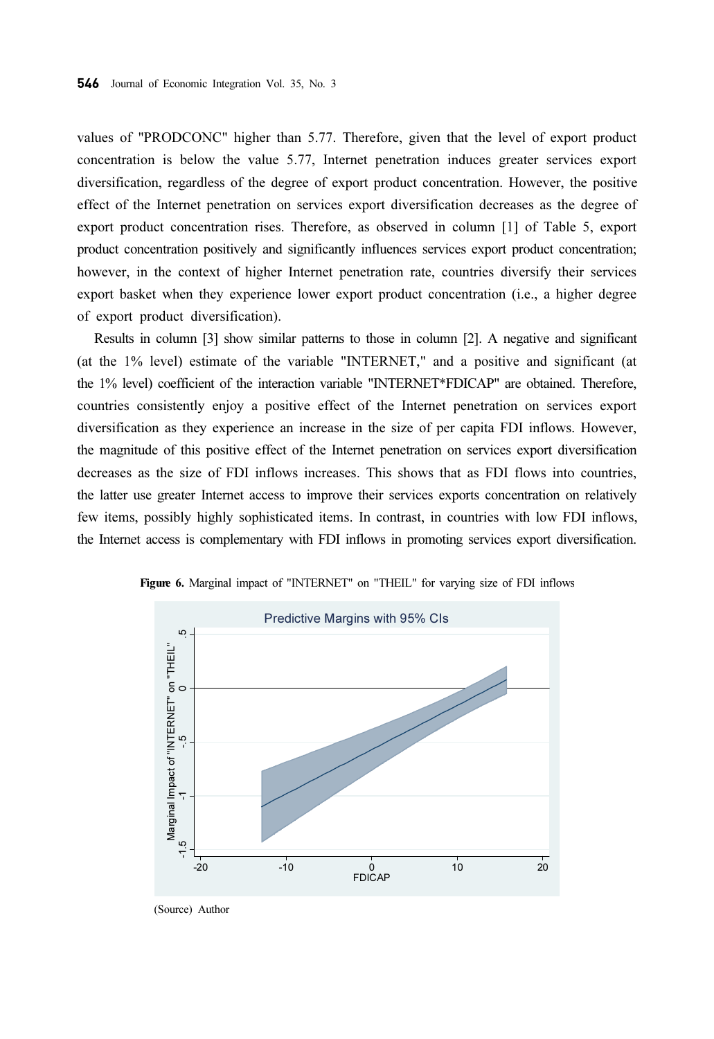values of "PRODCONC" higher than 5.77. Therefore, given that the level of export product concentration is below the value 5.77, Internet penetration induces greater services export diversification, regardless of the degree of export product concentration. However, the positive effect of the Internet penetration on services export diversification decreases as the degree of export product concentration rises. Therefore, as observed in column [1] of Table 5, export product concentration positively and significantly influences services export product concentration; however, in the context of higher Internet penetration rate, countries diversify their services export basket when they experience lower export product concentration (i.e., a higher degree of export product diversification).

Results in column [3] show similar patterns to those in column [2]. A negative and significant (at the 1% level) estimate of the variable "INTERNET," and a positive and significant (at the 1% level) coefficient of the interaction variable "INTERNET\*FDICAP" are obtained. Therefore, countries consistently enjoy a positive effect of the Internet penetration on services export diversification as they experience an increase in the size of per capita FDI inflows. However, the magnitude of this positive effect of the Internet penetration on services export diversification decreases as the size of FDI inflows increases. This shows that as FDI flows into countries, the latter use greater Internet access to improve their services exports concentration on relatively few items, possibly highly sophisticated items. In contrast, in countries with low FDI inflows, the Internet access is complementary with FDI inflows in promoting services export diversification.



Figure 6. Marginal impact of "INTERNET" on "THEIL" for varying size of FDI inflows

<sup>(</sup>Source) Author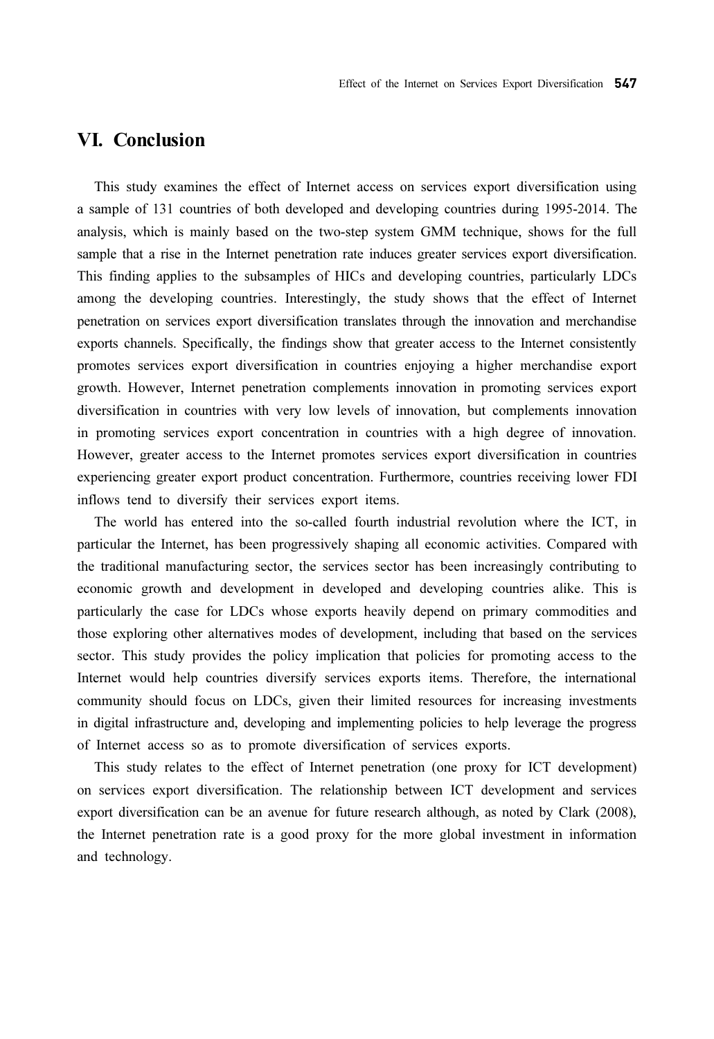### VI. Conclusion

This study examines the effect of Internet access on services export diversification using a sample of 131 countries of both developed and developing countries during 1995-2014. The analysis, which is mainly based on the two-step system GMM technique, shows for the full sample that a rise in the Internet penetration rate induces greater services export diversification. This finding applies to the subsamples of HICs and developing countries, particularly LDCs among the developing countries. Interestingly, the study shows that the effect of Internet penetration on services export diversification translates through the innovation and merchandise exports channels. Specifically, the findings show that greater access to the Internet consistently promotes services export diversification in countries enjoying a higher merchandise export growth. However, Internet penetration complements innovation in promoting services export diversification in countries with very low levels of innovation, but complements innovation in promoting services export concentration in countries with a high degree of innovation. However, greater access to the Internet promotes services export diversification in countries experiencing greater export product concentration. Furthermore, countries receiving lower FDI inflows tend to diversify their services export items.

The world has entered into the so-called fourth industrial revolution where the ICT, in particular the Internet, has been progressively shaping all economic activities. Compared with the traditional manufacturing sector, the services sector has been increasingly contributing to economic growth and development in developed and developing countries alike. This is particularly the case for LDCs whose exports heavily depend on primary commodities and those exploring other alternatives modes of development, including that based on the services sector. This study provides the policy implication that policies for promoting access to the Internet would help countries diversify services exports items. Therefore, the international community should focus on LDCs, given their limited resources for increasing investments in digital infrastructure and, developing and implementing policies to help leverage the progress of Internet access so as to promote diversification of services exports.

This study relates to the effect of Internet penetration (one proxy for ICT development) on services export diversification. The relationship between ICT development and services export diversification can be an avenue for future research although, as noted by Clark (2008), the Internet penetration rate is a good proxy for the more global investment in information and technology.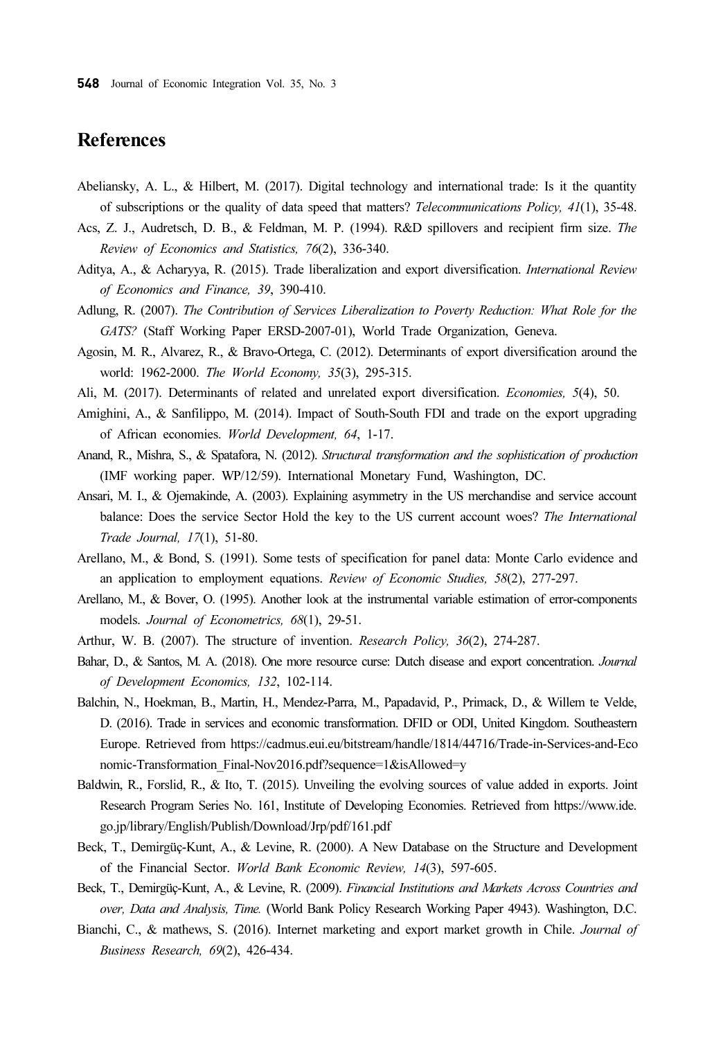# References

- Abeliansky, A. L., & Hilbert, M. (2017). Digital technology and international trade: Is it the quantity of subscriptions or the quality of data speed that matters? Telecommunications Policy, 41(1), 35-48.
- Acs, Z. J., Audretsch, D. B., & Feldman, M. P. (1994). R&D spillovers and recipient firm size. The Review of Economics and Statistics, 76(2), 336-340.
- Aditya, A., & Acharyya, R. (2015). Trade liberalization and export diversification. International Review of Economics and Finance, 39, 390-410.
- Adlung, R. (2007). The Contribution of Services Liberalization to Poverty Reduction: What Role for the GATS? (Staff Working Paper ERSD-2007-01), World Trade Organization, Geneva.
- Agosin, M. R., Alvarez, R., & Bravo-Ortega, C. (2012). Determinants of export diversification around the world: 1962-2000. The World Economy, 35(3), 295-315.
- Ali, M. (2017). Determinants of related and unrelated export diversification. Economies, 5(4), 50.
- Amighini, A., & Sanfilippo, M. (2014). Impact of South-South FDI and trade on the export upgrading of African economies. World Development, 64, 1-17.
- Anand, R., Mishra, S., & Spatafora, N. (2012). Structural transformation and the sophistication of production (IMF working paper. WP/12/59). International Monetary Fund, Washington, DC.
- Ansari, M. I., & Ojemakinde, A. (2003). Explaining asymmetry in the US merchandise and service account balance: Does the service Sector Hold the key to the US current account woes? The International Trade Journal, 17(1), 51-80.
- Arellano, M., & Bond, S. (1991). Some tests of specification for panel data: Monte Carlo evidence and an application to employment equations. Review of Economic Studies, 58(2), 277-297.
- Arellano, M., & Bover, O. (1995). Another look at the instrumental variable estimation of error-components models. Journal of Econometrics, 68(1), 29-51.
- Arthur, W. B. (2007). The structure of invention. Research Policy, 36(2), 274-287.
- Bahar, D., & Santos, M. A. (2018). One more resource curse: Dutch disease and export concentration. Journal of Development Economics, 132, 102-114.
- Balchin, N., Hoekman, B., Martin, H., Mendez-Parra, M., Papadavid, P., Primack, D., & Willem te Velde, D. (2016). Trade in services and economic transformation. DFID or ODI, United Kingdom. Southeastern Europe. Retrieved from https://cadmus.eui.eu/bitstream/handle/1814/44716/Trade-in-Services-and-Eco nomic-Transformation\_Final-Nov2016.pdf?sequence=1&isAllowed=y
- Baldwin, R., Forslid, R., & Ito, T. (2015). Unveiling the evolving sources of value added in exports. Joint Research Program Series No. 161, Institute of Developing Economies. Retrieved from https://www.ide. go.jp/library/English/Publish/Download/Jrp/pdf/161.pdf
- Beck, T., Demirgüç-Kunt, A., & Levine, R. (2000). A New Database on the Structure and Development of the Financial Sector. World Bank Economic Review, 14(3), 597-605.
- Beck, T., Demirgüç-Kunt, A., & Levine, R. (2009). Financial Institutions and Markets Across Countries and over, Data and Analysis, Time. (World Bank Policy Research Working Paper 4943). Washington, D.C.
- Bianchi, C., & mathews, S. (2016). Internet marketing and export market growth in Chile. Journal of Business Research, 69(2), 426-434.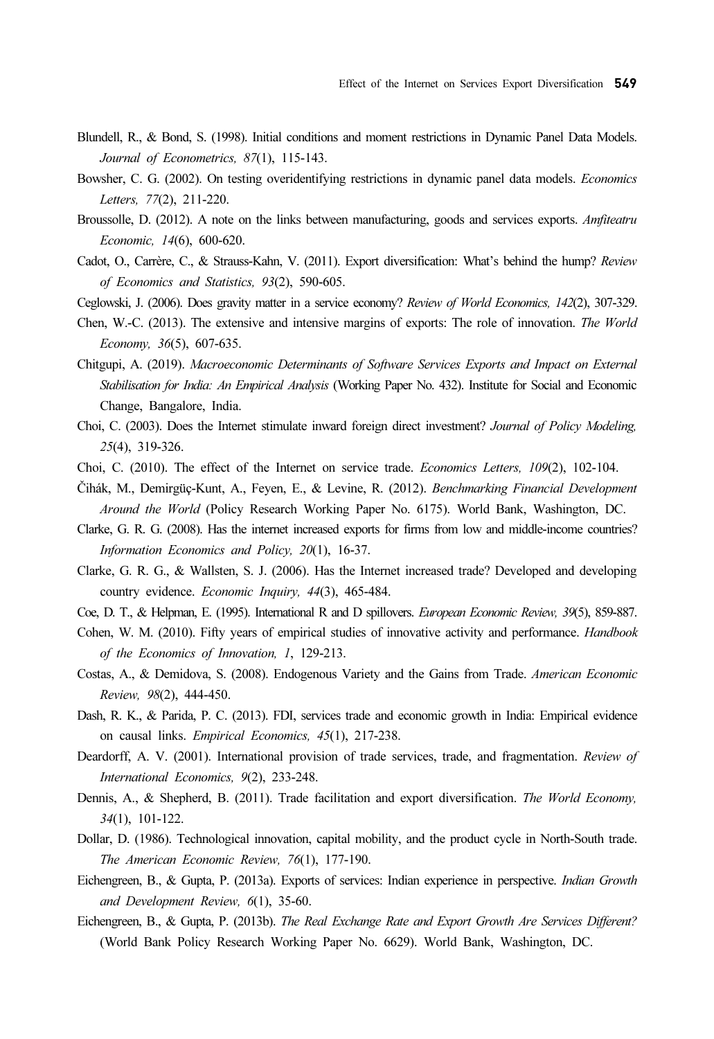- Blundell, R., & Bond, S. (1998). Initial conditions and moment restrictions in Dynamic Panel Data Models. Journal of Econometrics, 87(1), 115-143.
- Bowsher, C. G. (2002). On testing overidentifying restrictions in dynamic panel data models. Economics Letters, 77(2), 211-220.
- Broussolle, D. (2012). A note on the links between manufacturing, goods and services exports. Amfiteatru Economic, 14(6), 600-620.
- Cadot, O., Carrère, C., & Strauss-Kahn, V. (2011). Export diversification: What's behind the hump? Review of Economics and Statistics, 93(2), 590-605.
- Ceglowski, J. (2006). Does gravity matter in a service economy? Review of World Economics, 142(2), 307-329.
- Chen, W.-C. (2013). The extensive and intensive margins of exports: The role of innovation. The World Economy, 36(5), 607-635.
- Chitgupi, A. (2019). Macroeconomic Determinants of Software Services Exports and Impact on External Stabilisation for India: An Empirical Analysis (Working Paper No. 432). Institute for Social and Economic Change, Bangalore, India.
- Choi, C. (2003). Does the Internet stimulate inward foreign direct investment? Journal of Policy Modeling, 25(4), 319-326.
- Choi, C. (2010). The effect of the Internet on service trade. Economics Letters, 109(2), 102-104.
- Čihák, M., Demirgüç-Kunt, A., Feyen, E., & Levine, R. (2012). Benchmarking Financial Development Around the World (Policy Research Working Paper No. 6175). World Bank, Washington, DC.
- Clarke, G. R. G. (2008). Has the internet increased exports for firms from low and middle-income countries? Information Economics and Policy, 20(1), 16-37.
- Clarke, G. R. G., & Wallsten, S. J. (2006). Has the Internet increased trade? Developed and developing country evidence. Economic Inquiry, 44(3), 465-484.
- Coe, D. T., & Helpman, E. (1995). International R and D spillovers. European Economic Review, 39(5), 859-887.
- Cohen, W. M. (2010). Fifty years of empirical studies of innovative activity and performance. Handbook of the Economics of Innovation, 1, 129-213.
- Costas, A., & Demidova, S. (2008). Endogenous Variety and the Gains from Trade. American Economic Review, 98(2), 444-450.
- Dash, R. K., & Parida, P. C. (2013). FDI, services trade and economic growth in India: Empirical evidence on causal links. Empirical Economics, 45(1), 217-238.
- Deardorff, A. V. (2001). International provision of trade services, trade, and fragmentation. Review of International Economics, 9(2), 233-248.
- Dennis, A., & Shepherd, B. (2011). Trade facilitation and export diversification. The World Economy, 34(1), 101-122.
- Dollar, D. (1986). Technological innovation, capital mobility, and the product cycle in North-South trade. The American Economic Review, 76(1), 177-190.
- Eichengreen, B., & Gupta, P. (2013a). Exports of services: Indian experience in perspective. Indian Growth and Development Review, 6(1), 35-60.
- Eichengreen, B., & Gupta, P. (2013b). The Real Exchange Rate and Export Growth Are Services Different? (World Bank Policy Research Working Paper No. 6629). World Bank, Washington, DC.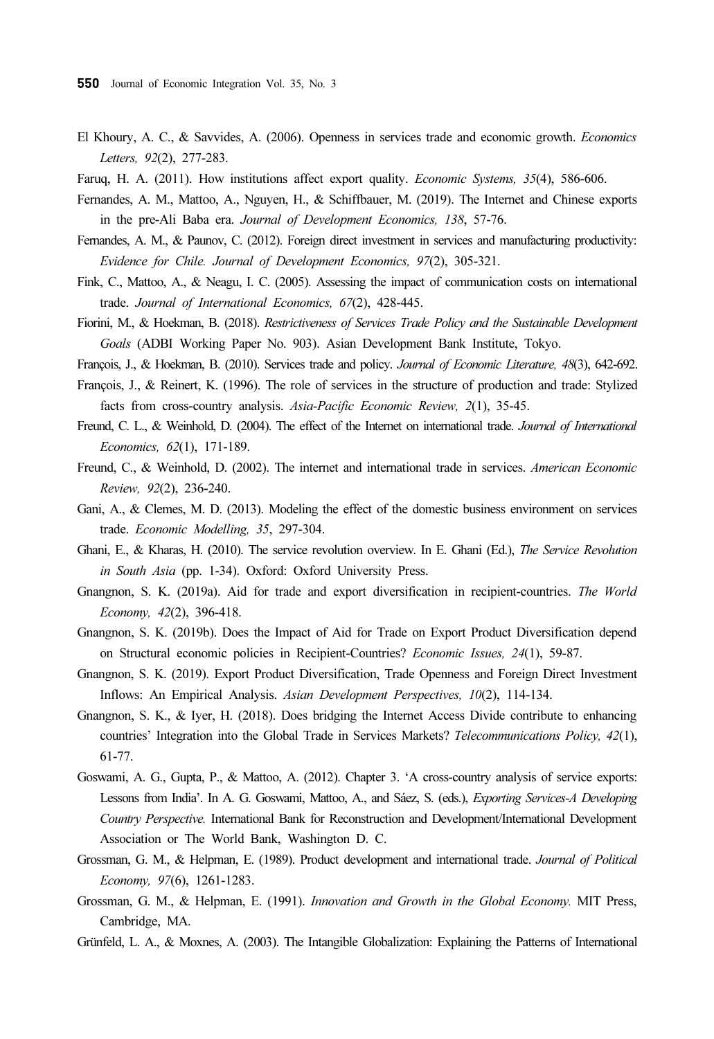- El Khoury, A. C., & Savvides, A. (2006). Openness in services trade and economic growth. Economics Letters, 92(2), 277-283.
- Faruq, H. A. (2011). How institutions affect export quality. *Economic Systems*, 35(4), 586-606.
- Fernandes, A. M., Mattoo, A., Nguyen, H., & Schiffbauer, M. (2019). The Internet and Chinese exports in the pre-Ali Baba era. Journal of Development Economics, 138, 57-76.
- Fernandes, A. M., & Paunov, C. (2012). Foreign direct investment in services and manufacturing productivity: Evidence for Chile. Journal of Development Economics, 97(2), 305-321.
- Fink, C., Mattoo, A., & Neagu, I. C. (2005). Assessing the impact of communication costs on international trade. Journal of International Economics, 67(2), 428-445.
- Fiorini, M., & Hoekman, B. (2018). Restrictiveness of Services Trade Policy and the Sustainable Development Goals (ADBI Working Paper No. 903). Asian Development Bank Institute, Tokyo.
- François, J., & Hoekman, B. (2010). Services trade and policy. Journal of Economic Literature, 48(3), 642-692.
- François, J., & Reinert, K. (1996). The role of services in the structure of production and trade: Stylized facts from cross-country analysis. Asia-Pacific Economic Review, 2(1), 35-45.
- Freund, C. L., & Weinhold, D. (2004). The effect of the Internet on international trade. Journal of International Economics, 62(1), 171-189.
- Freund, C., & Weinhold, D. (2002). The internet and international trade in services. American Economic Review, 92(2), 236-240.
- Gani, A., & Clemes, M. D. (2013). Modeling the effect of the domestic business environment on services trade. Economic Modelling, 35, 297-304.
- Ghani, E., & Kharas, H. (2010). The service revolution overview. In E. Ghani (Ed.), The Service Revolution in South Asia (pp. 1-34). Oxford: Oxford University Press.
- Gnangnon, S. K. (2019a). Aid for trade and export diversification in recipient-countries. The World Economy, 42(2), 396-418.
- Gnangnon, S. K. (2019b). Does the Impact of Aid for Trade on Export Product Diversification depend on Structural economic policies in Recipient-Countries? Economic Issues, 24(1), 59-87.
- Gnangnon, S. K. (2019). Export Product Diversification, Trade Openness and Foreign Direct Investment Inflows: An Empirical Analysis. Asian Development Perspectives, 10(2), 114-134.
- Gnangnon, S. K., & Iyer, H. (2018). Does bridging the Internet Access Divide contribute to enhancing countries' Integration into the Global Trade in Services Markets? Telecommunications Policy, 42(1), 61-77.
- Goswami, A. G., Gupta, P., & Mattoo, A. (2012). Chapter 3. 'A cross-country analysis of service exports: Lessons from India'. In A. G. Goswami, Mattoo, A., and Sáez, S. (eds.), Exporting Services-A Developing Country Perspective. International Bank for Reconstruction and Development/International Development Association or The World Bank, Washington D. C.
- Grossman, G. M., & Helpman, E. (1989). Product development and international trade. Journal of Political Economy, 97(6), 1261-1283.
- Grossman, G. M., & Helpman, E. (1991). Innovation and Growth in the Global Economy. MIT Press, Cambridge, MA.
- Grünfeld, L. A., & Moxnes, A. (2003). The Intangible Globalization: Explaining the Patterns of International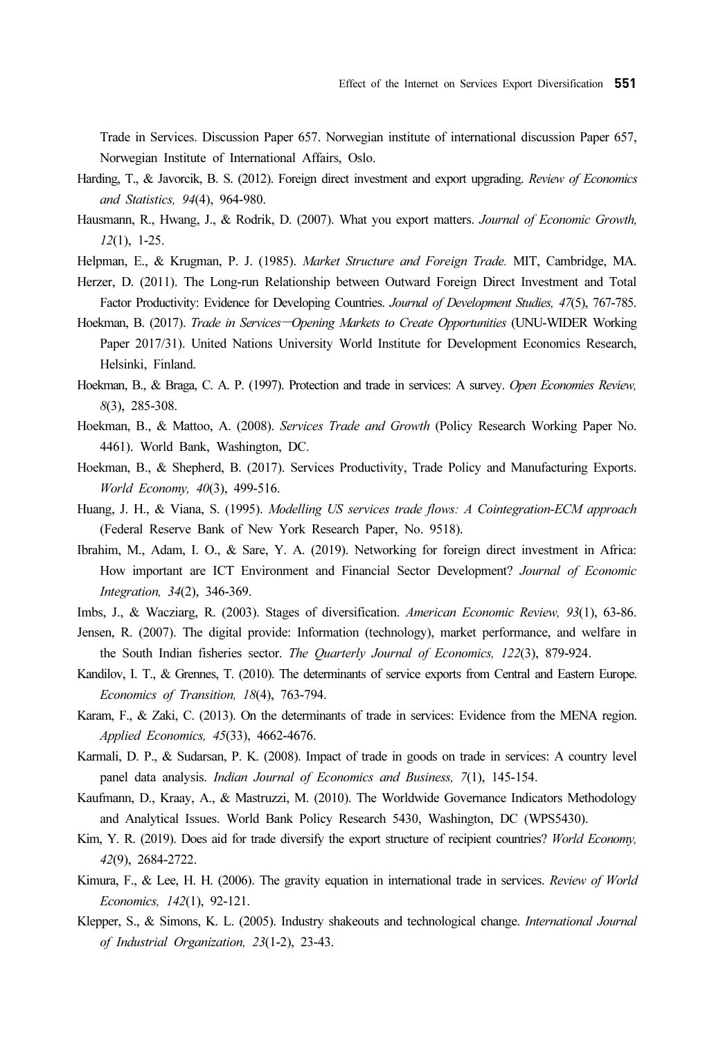Trade in Services. Discussion Paper 657. Norwegian institute of international discussion Paper 657, Norwegian Institute of International Affairs, Oslo.

- Harding, T., & Javorcik, B. S. (2012). Foreign direct investment and export upgrading. Review of Economics and Statistics, 94(4), 964-980.
- Hausmann, R., Hwang, J., & Rodrik, D. (2007). What you export matters. Journal of Economic Growth, 12(1), 1-25.
- Helpman, E., & Krugman, P. J. (1985). Market Structure and Foreign Trade. MIT, Cambridge, MA.
- Herzer, D. (2011). The Long-run Relationship between Outward Foreign Direct Investment and Total Factor Productivity: Evidence for Developing Countries. Journal of Development Studies, 47(5), 767-785. Hausmann, R., Hwang, J., & Rodrik, D. (2007). What you export matters. Journal of Economic Growth, 12(1), 1-25.<br>Helpman, E., & Krugman, P. J. (1985). *Market Structure and Foreign Trade*. MIT, Cambridge, MA.<br>Herzer, D. (20
- Paper 2017/31). United Nations University World Institute for Development Economics Research, Helsinki, Finland.
- Hoekman, B., & Braga, C. A. P. (1997). Protection and trade in services: A survey. Open Economies Review, 8(3), 285-308.
- Hoekman, B., & Mattoo, A. (2008). Services Trade and Growth (Policy Research Working Paper No. 4461). World Bank, Washington, DC.
- Hoekman, B., & Shepherd, B. (2017). Services Productivity, Trade Policy and Manufacturing Exports. World Economy, 40(3), 499-516.
- Huang, J. H., & Viana, S. (1995). Modelling US services trade flows: A Cointegration-ECM approach (Federal Reserve Bank of New York Research Paper, No. 9518).
- Ibrahim, M., Adam, I. O., & Sare, Y. A. (2019). Networking for foreign direct investment in Africa: How important are ICT Environment and Financial Sector Development? Journal of Economic Integration, 34(2), 346-369.
- Imbs, J., & Wacziarg, R. (2003). Stages of diversification. American Economic Review, 93(1), 63-86.
- Jensen, R. (2007). The digital provide: Information (technology), market performance, and welfare in the South Indian fisheries sector. The Quarterly Journal of Economics, 122(3), 879-924.
- Kandilov, I. T., & Grennes, T. (2010). The determinants of service exports from Central and Eastern Europe. Economics of Transition, 18(4), 763-794.
- Karam, F., & Zaki, C. (2013). On the determinants of trade in services: Evidence from the MENA region. Applied Economics, 45(33), 4662-4676.
- Karmali, D. P., & Sudarsan, P. K. (2008). Impact of trade in goods on trade in services: A country level panel data analysis. Indian Journal of Economics and Business, 7(1), 145-154.
- Kaufmann, D., Kraay, A., & Mastruzzi, M. (2010). The Worldwide Governance Indicators Methodology and Analytical Issues. World Bank Policy Research 5430, Washington, DC (WPS5430).
- Kim, Y. R. (2019). Does aid for trade diversify the export structure of recipient countries? World Economy, 42(9), 2684-2722.
- Kimura, F., & Lee, H. H. (2006). The gravity equation in international trade in services. Review of World Economics, 142(1), 92-121.
- Klepper, S., & Simons, K. L. (2005). Industry shakeouts and technological change. International Journal of Industrial Organization, 23(1-2), 23-43.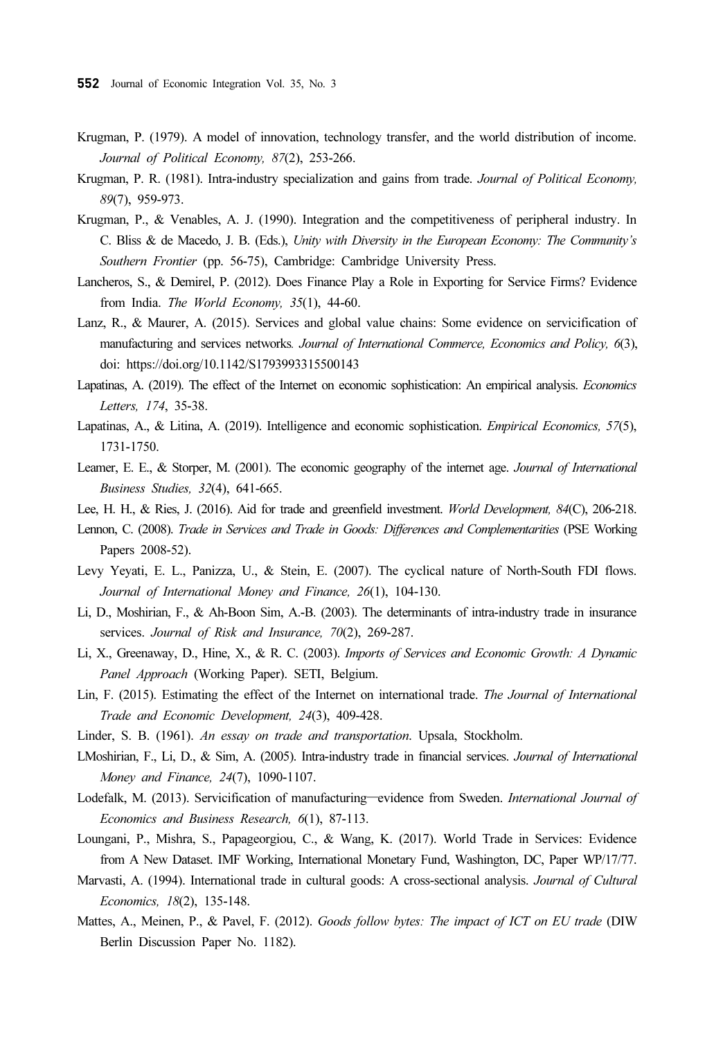- Krugman, P. (1979). A model of innovation, technology transfer, and the world distribution of income. Journal of Political Economy, 87(2), 253-266.
- Krugman, P. R. (1981). Intra-industry specialization and gains from trade. Journal of Political Economy, 89(7), 959-973.
- Krugman, P., & Venables, A. J. (1990). Integration and the competitiveness of peripheral industry. In C. Bliss & de Macedo, J. B. (Eds.), Unity with Diversity in the European Economy: The Community's Southern Frontier (pp. 56-75), Cambridge: Cambridge University Press.
- Lancheros, S., & Demirel, P. (2012). Does Finance Play a Role in Exporting for Service Firms? Evidence from India. The World Economy, 35(1), 44-60.
- Lanz, R., & Maurer, A. (2015). Services and global value chains: Some evidence on servicification of manufacturing and services networks. Journal of International Commerce, Economics and Policy, 6(3), doi: https://doi.org/10.1142/S1793993315500143
- Lapatinas, A. (2019). The effect of the Internet on economic sophistication: An empirical analysis. Economics Letters, 174, 35-38.
- Lapatinas, A., & Litina, A. (2019). Intelligence and economic sophistication. *Empirical Economics*, 57(5), 1731-1750.
- Leamer, E. E., & Storper, M. (2001). The economic geography of the internet age. Journal of International Business Studies, 32(4), 641-665.
- Lee, H. H., & Ries, J. (2016). Aid for trade and greenfield investment. World Development, 84(C), 206-218.
- Lennon, C. (2008). Trade in Services and Trade in Goods: Differences and Complementarities (PSE Working Papers 2008-52).
- Levy Yeyati, E. L., Panizza, U., & Stein, E. (2007). The cyclical nature of North-South FDI flows. Journal of International Money and Finance, 26(1), 104-130.
- Li, D., Moshirian, F., & Ah-Boon Sim, A.-B. (2003). The determinants of intra-industry trade in insurance services. Journal of Risk and Insurance, 70(2), 269-287.
- Li, X., Greenaway, D., Hine, X., & R. C. (2003). Imports of Services and Economic Growth: A Dynamic Panel Approach (Working Paper). SETI, Belgium.
- Lin, F. (2015). Estimating the effect of the Internet on international trade. The Journal of International Trade and Economic Development, 24(3), 409-428. Lin, F. (2015). Estimating the effect of the Internet on international trade. The Journal of International<br> *Trade and Economic Development*, 24(3), 409-428.<br>
Linder, S. B. (1961). An essay on trade and transportation. Ups
- Linder, S. B. (1961). An essay on trade and transportation. Upsala, Stockholm.
- LMoshirian, F., Li, D., & Sim, A. (2005). Intra-industry trade in financial services. Journal of International Money and Finance, 24(7), 1090-1107.
- Economics and Business Research, 6(1), 87-113.
- Loungani, P., Mishra, S., Papageorgiou, C., & Wang, K. (2017). World Trade in Services: Evidence from A New Dataset. IMF Working, International Monetary Fund, Washington, DC, Paper WP/17/77.
- Marvasti, A. (1994). International trade in cultural goods: A cross-sectional analysis. Journal of Cultural Economics, 18(2), 135-148.
- Mattes, A., Meinen, P., & Pavel, F. (2012). Goods follow bytes: The impact of ICT on EU trade (DIW Berlin Discussion Paper No. 1182).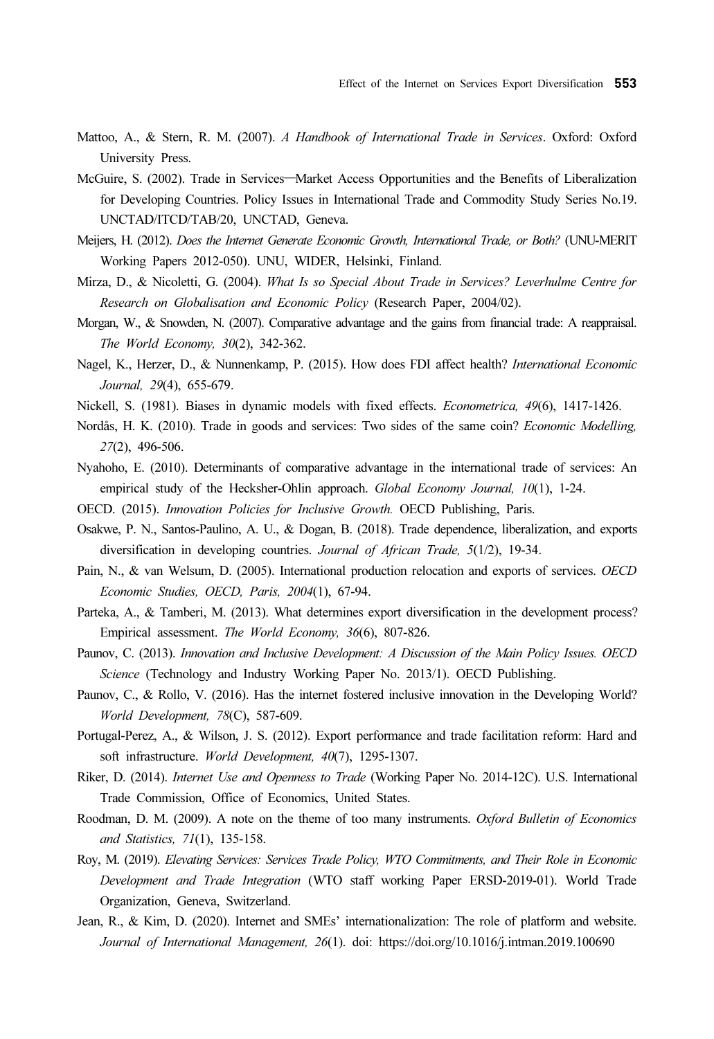- Mattoo, A., & Stern, R. M. (2007). A Handbook of International Trade in Services. Oxford: Oxford University Press. Effect of the Internet on Services Export Diversification 553<br>Mattoo, A., & Stern, R. M. (2007). A Handbook of International Trade in Services. Oxford: Oxford<br>University Press.<br>McGuire, S. (2002). Trade in Services—Market
- for Developing Countries. Policy Issues in International Trade and Commodity Study Series No.19. UNCTAD/ITCD/TAB/20, UNCTAD, Geneva.
- Meijers, H. (2012). Does the Internet Generate Economic Growth, International Trade, or Both? (UNU-MERIT Working Papers 2012-050). UNU, WIDER, Helsinki, Finland.
- Mirza, D., & Nicoletti, G. (2004). What Is so Special About Trade in Services? Leverhulme Centre for Research on Globalisation and Economic Policy (Research Paper, 2004/02).
- Morgan, W., & Snowden, N. (2007). Comparative advantage and the gains from financial trade: A reappraisal. The World Economy, 30(2), 342-362.
- Nagel, K., Herzer, D., & Nunnenkamp, P. (2015). How does FDI affect health? International Economic Journal, 29(4), 655-679.
- Nickell, S. (1981). Biases in dynamic models with fixed effects. *Econometrica*, 49(6), 1417-1426.
- Nordås, H. K. (2010). Trade in goods and services: Two sides of the same coin? Economic Modelling, 27(2), 496-506.
- Nyahoho, E. (2010). Determinants of comparative advantage in the international trade of services: An empirical study of the Hecksher-Ohlin approach. Global Economy Journal, 10(1), 1-24.
- OECD. (2015). Innovation Policies for Inclusive Growth. OECD Publishing, Paris.
- Osakwe, P. N., Santos-Paulino, A. U., & Dogan, B. (2018). Trade dependence, liberalization, and exports diversification in developing countries. Journal of African Trade, 5(1/2), 19-34.
- Pain, N., & van Welsum, D. (2005). International production relocation and exports of services. OECD Economic Studies, OECD, Paris, 2004(1), 67-94.
- Parteka, A., & Tamberi, M. (2013). What determines export diversification in the development process? Empirical assessment. The World Economy, 36(6), 807-826.
- Paunov, C. (2013). Innovation and Inclusive Development: A Discussion of the Main Policy Issues. OECD Science (Technology and Industry Working Paper No. 2013/1). OECD Publishing.
- Paunov, C., & Rollo, V. (2016). Has the internet fostered inclusive innovation in the Developing World? World Development, 78(C), 587-609.
- Portugal-Perez, A., & Wilson, J. S. (2012). Export performance and trade facilitation reform: Hard and soft infrastructure. World Development, 40(7), 1295-1307.
- Riker, D. (2014). Internet Use and Openness to Trade (Working Paper No. 2014-12C). U.S. International Trade Commission, Office of Economics, United States.
- Roodman, D. M. (2009). A note on the theme of too many instruments. Oxford Bulletin of Economics and Statistics, 71(1), 135-158.
- Roy, M. (2019). Elevating Services: Services Trade Policy, WTO Commitments, and Their Role in Economic Development and Trade Integration (WTO staff working Paper ERSD-2019-01). World Trade Organization, Geneva, Switzerland.
- Jean, R., & Kim, D. (2020). Internet and SMEs' internationalization: The role of platform and website. Journal of International Management, 26(1). doi: https://doi.org/10.1016/j.intman.2019.100690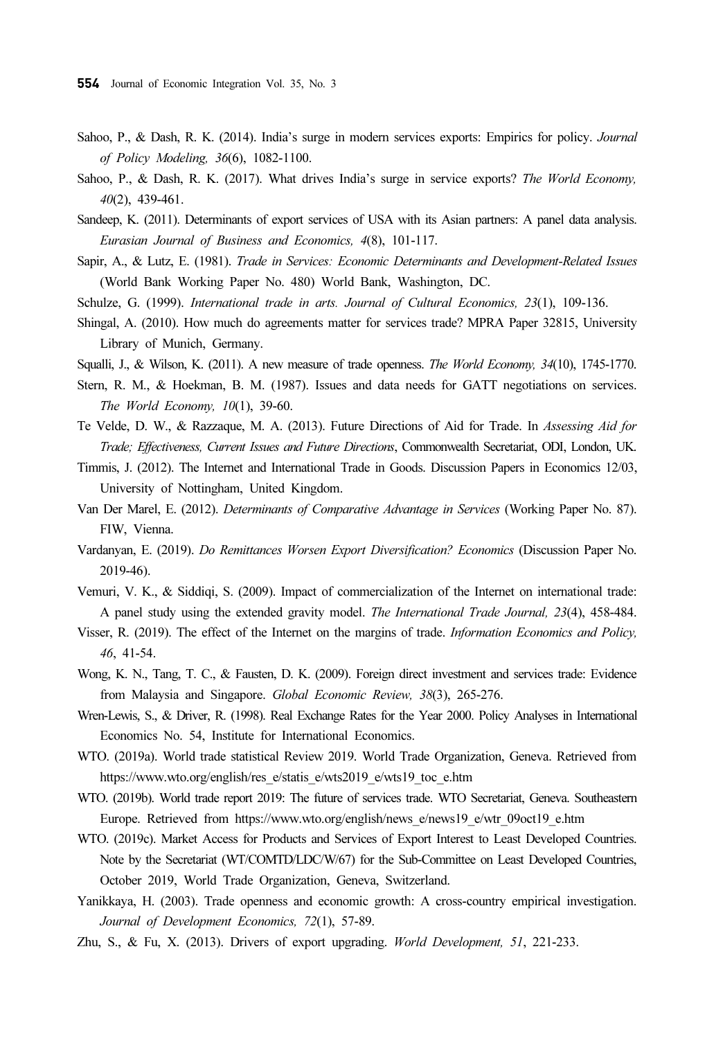- Sahoo, P., & Dash, R. K. (2014). India's surge in modern services exports: Empirics for policy. Journal of Policy Modeling, 36(6), 1082-1100.
- Sahoo, P., & Dash, R. K. (2017). What drives India's surge in service exports? The World Economy, 40(2), 439-461.
- Sandeep, K. (2011). Determinants of export services of USA with its Asian partners: A panel data analysis. Eurasian Journal of Business and Economics, 4(8), 101-117.
- Sapir, A., & Lutz, E. (1981). Trade in Services: Economic Determinants and Development-Related Issues (World Bank Working Paper No. 480) World Bank, Washington, DC.
- Schulze, G. (1999). International trade in arts. Journal of Cultural Economics, 23(1), 109-136.
- Shingal, A. (2010). How much do agreements matter for services trade? MPRA Paper 32815, University Library of Munich, Germany.
- Squalli, J., & Wilson, K. (2011). A new measure of trade openness. The World Economy, 34(10), 1745-1770.
- Stern, R. M., & Hoekman, B. M. (1987). Issues and data needs for GATT negotiations on services. The World Economy,  $10(1)$ , 39-60.
- Te Velde, D. W., & Razzaque, M. A. (2013). Future Directions of Aid for Trade. In Assessing Aid for Trade; Effectiveness, Current Issues and Future Directions, Commonwealth Secretariat, ODI, London, UK.
- Timmis, J. (2012). The Internet and International Trade in Goods. Discussion Papers in Economics 12/03, University of Nottingham, United Kingdom.
- Van Der Marel, E. (2012). Determinants of Comparative Advantage in Services (Working Paper No. 87). FIW, Vienna.
- Vardanyan, E. (2019). Do Remittances Worsen Export Diversification? Economics (Discussion Paper No. 2019-46).
- Vemuri, V. K., & Siddiqi, S. (2009). Impact of commercialization of the Internet on international trade: A panel study using the extended gravity model. The International Trade Journal, 23(4), 458-484.
- Visser, R. (2019). The effect of the Internet on the margins of trade. Information Economics and Policy, 46, 41-54.
- Wong, K. N., Tang, T. C., & Fausten, D. K. (2009). Foreign direct investment and services trade: Evidence from Malaysia and Singapore. Global Economic Review, 38(3), 265-276.
- Wren-Lewis, S., & Driver, R. (1998). Real Exchange Rates for the Year 2000. Policy Analyses in International Economics No. 54, Institute for International Economics.
- WTO. (2019a). World trade statistical Review 2019. World Trade Organization, Geneva. Retrieved from https://www.wto.org/english/res\_e/statis\_e/wts2019\_e/wts19\_toc\_e.htm
- WTO. (2019b). World trade report 2019: The future of services trade. WTO Secretariat, Geneva. Southeastern Europe. Retrieved from https://www.wto.org/english/news\_e/news19\_e/wtr\_09oct19\_e.htm
- WTO. (2019c). Market Access for Products and Services of Export Interest to Least Developed Countries. Note by the Secretariat (WT/COMTD/LDC/W/67) for the Sub-Committee on Least Developed Countries, October 2019, World Trade Organization, Geneva, Switzerland.
- Yanikkaya, H. (2003). Trade openness and economic growth: A cross-country empirical investigation. Journal of Development Economics, 72(1), 57-89.
- Zhu, S., & Fu, X. (2013). Drivers of export upgrading. World Development, 51, 221-233.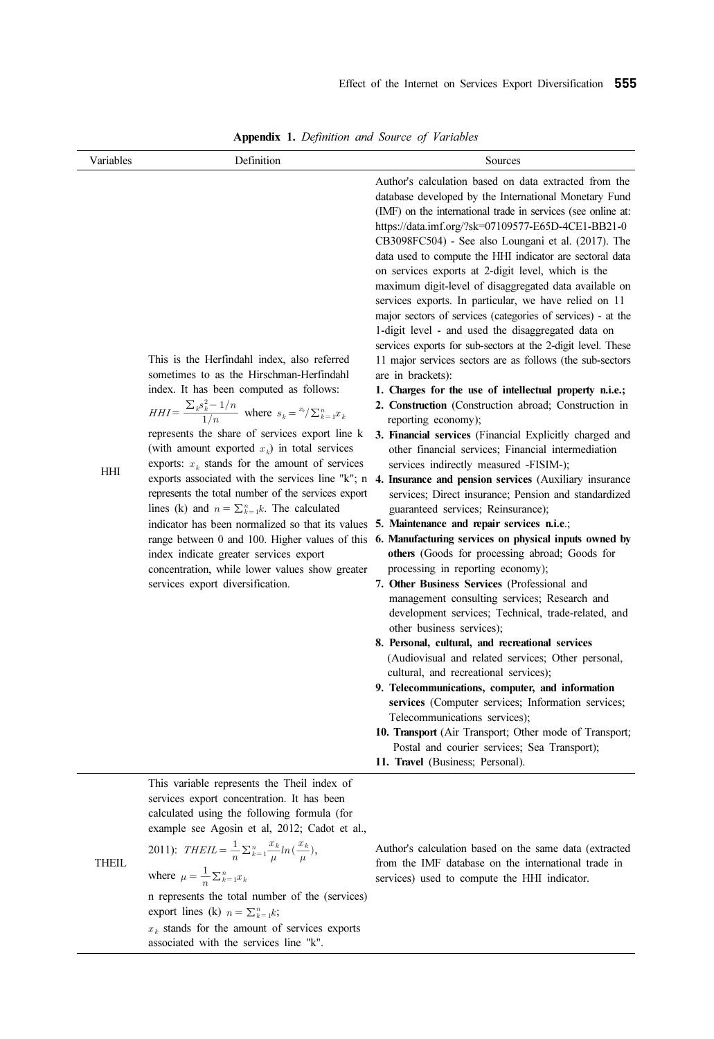|                         | <b>Appendix 1.</b> Definition and Source of Variables                                                                                                                                                                                                                                                                                                                                                                                                                                                                                                                                                                                                                                                                                                         | Effect of the Internet on Services Export Diversification 555                                                                                                                                                                                                                                                                                                                                                                                                                                                                                                                                                                                                                                                                                                                                                                                                                                                                                                                                                                                                                                                                                                                                                                                                                                                                                                                                                                                                                                                                                                                                                                                                                                                                                                                                                                                                                                                                                                                                                                                                                                                                                                   |
|-------------------------|---------------------------------------------------------------------------------------------------------------------------------------------------------------------------------------------------------------------------------------------------------------------------------------------------------------------------------------------------------------------------------------------------------------------------------------------------------------------------------------------------------------------------------------------------------------------------------------------------------------------------------------------------------------------------------------------------------------------------------------------------------------|-----------------------------------------------------------------------------------------------------------------------------------------------------------------------------------------------------------------------------------------------------------------------------------------------------------------------------------------------------------------------------------------------------------------------------------------------------------------------------------------------------------------------------------------------------------------------------------------------------------------------------------------------------------------------------------------------------------------------------------------------------------------------------------------------------------------------------------------------------------------------------------------------------------------------------------------------------------------------------------------------------------------------------------------------------------------------------------------------------------------------------------------------------------------------------------------------------------------------------------------------------------------------------------------------------------------------------------------------------------------------------------------------------------------------------------------------------------------------------------------------------------------------------------------------------------------------------------------------------------------------------------------------------------------------------------------------------------------------------------------------------------------------------------------------------------------------------------------------------------------------------------------------------------------------------------------------------------------------------------------------------------------------------------------------------------------------------------------------------------------------------------------------------------------|
| Variables<br><b>HHI</b> | Definition<br>This is the Herfindahl index, also referred<br>sometimes to as the Hirschman-Herfindahl<br>index. It has been computed as follows:<br>$HHI = \frac{\sum_{k} s_{k}^{2} - 1/n}{1/n}$ where $s_{k} = \sqrt[n]{\sum_{k=1}^{n} x_{k}}$<br>represents the share of services export line k<br>(with amount exported $x_k$ ) in total services<br>exports: $x_k$ stands for the amount of services<br>represents the total number of the services export<br>lines (k) and $n = \sum_{k=1}^{n} k$ . The calculated<br>indicator has been normalized so that its values<br>range between 0 and 100. Higher values of this<br>index indicate greater services export<br>concentration, while lower values show greater<br>services export diversification. | Sources<br>Author's calculation based on data extracted from the<br>database developed by the International Monetary Fund<br>(IMF) on the international trade in services (see online at:<br>https://data.imf.org/?sk=07109577-E65D-4CE1-BB21-0<br>CB3098FC504) - See also Loungani et al. (2017). The<br>data used to compute the HHI indicator are sectoral data<br>on services exports at 2-digit level, which is the<br>maximum digit-level of disaggregated data available on<br>services exports. In particular, we have relied on 11<br>major sectors of services (categories of services) - at the<br>1-digit level - and used the disaggregated data on<br>services exports for sub-sectors at the 2-digit level. These<br>11 major services sectors are as follows (the sub-sectors<br>are in brackets):<br>1. Charges for the use of intellectual property n.i.e.;<br>2. Construction (Construction abroad; Construction in<br>reporting economy);<br>3. Financial services (Financial Explicitly charged and<br>other financial services; Financial intermediation<br>services indirectly measured -FISIM-);<br>exports associated with the services line "k"; n 4. Insurance and pension services (Auxiliary insurance<br>services; Direct insurance; Pension and standardized<br>guaranteed services; Reinsurance);<br>5. Maintenance and repair services n.i.e.;<br>6. Manufacturing services on physical inputs owned by<br>others (Goods for processing abroad; Goods for<br>processing in reporting economy);<br>7. Other Business Services (Professional and<br>management consulting services; Research and<br>development services; Technical, trade-related, and<br>other business services);<br>8. Personal, cultural, and recreational services<br>(Audiovisual and related services; Other personal,<br>cultural, and recreational services);<br>9. Telecommunications, computer, and information<br>services (Computer services; Information services;<br>Telecommunications services);<br>10. Transport (Air Transport; Other mode of Transport;<br>Postal and courier services; Sea Transport);<br>11. Travel (Business; Personal). |
|                         | This variable represents the Theil index of<br>services export concentration. It has been<br>calculated using the following formula (for<br>example see Agosin et al, 2012; Cadot et al.,                                                                                                                                                                                                                                                                                                                                                                                                                                                                                                                                                                     |                                                                                                                                                                                                                                                                                                                                                                                                                                                                                                                                                                                                                                                                                                                                                                                                                                                                                                                                                                                                                                                                                                                                                                                                                                                                                                                                                                                                                                                                                                                                                                                                                                                                                                                                                                                                                                                                                                                                                                                                                                                                                                                                                                 |

Appendix 1. Definition and Source of Variables

 $x<sub>k</sub>$  stands for the amount of services exports associated with the services line "k".

 $\frac{1}{n} \sum_{k=1}^{n} x_k$ 

export lines (k)  $n = \sum_{k=1}^{n} k$ ;

THEIL

\nwhere 
$$
\mu = \frac{1}{n} \sum_{k=1}^{n} x_k
$$

\nn represents the total number of the (serves)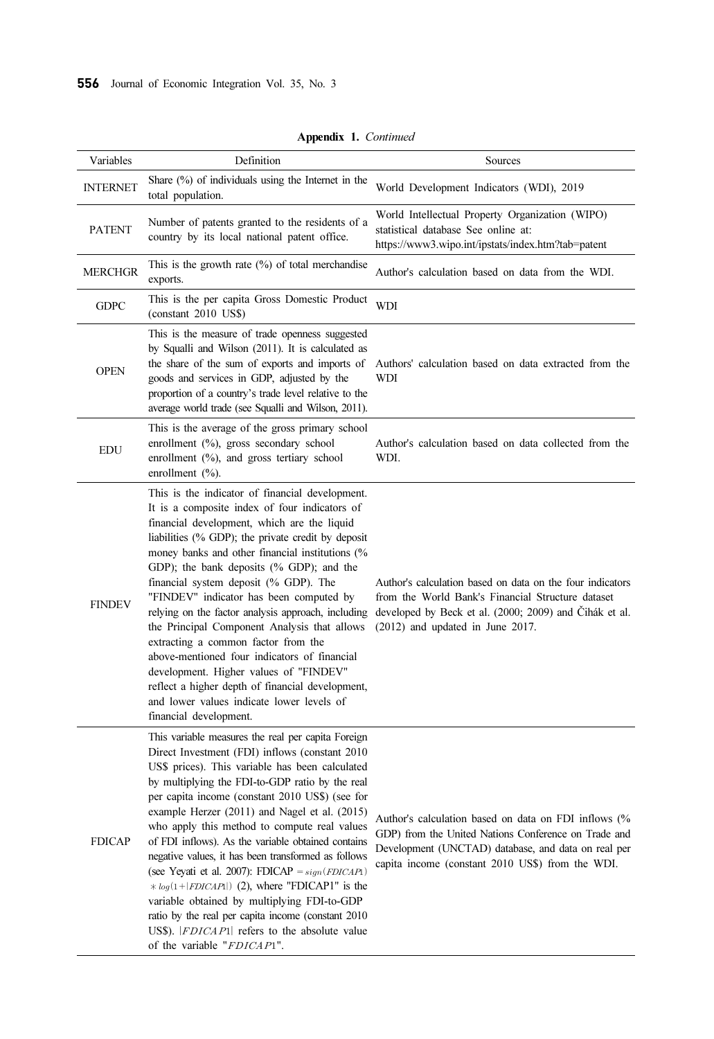| Variables       | Definition                                                                                                                                                                                                                                                                                                                                                                                                                                                                                                                                                                                                                                                                                                                                                                  | Sources                                                                                                                                                                                                                 |
|-----------------|-----------------------------------------------------------------------------------------------------------------------------------------------------------------------------------------------------------------------------------------------------------------------------------------------------------------------------------------------------------------------------------------------------------------------------------------------------------------------------------------------------------------------------------------------------------------------------------------------------------------------------------------------------------------------------------------------------------------------------------------------------------------------------|-------------------------------------------------------------------------------------------------------------------------------------------------------------------------------------------------------------------------|
| <b>INTERNET</b> | Share $(\%)$ of individuals using the Internet in the<br>total population.                                                                                                                                                                                                                                                                                                                                                                                                                                                                                                                                                                                                                                                                                                  | World Development Indicators (WDI), 2019                                                                                                                                                                                |
| <b>PATENT</b>   | Number of patents granted to the residents of a<br>country by its local national patent office.                                                                                                                                                                                                                                                                                                                                                                                                                                                                                                                                                                                                                                                                             | World Intellectual Property Organization (WIPO)<br>statistical database See online at:<br>https://www3.wipo.int/ipstats/index.htm?tab=patent                                                                            |
| <b>MERCHGR</b>  | This is the growth rate $(\%)$ of total merchandise<br>exports.                                                                                                                                                                                                                                                                                                                                                                                                                                                                                                                                                                                                                                                                                                             | Author's calculation based on data from the WDI.                                                                                                                                                                        |
| <b>GDPC</b>     | This is the per capita Gross Domestic Product<br>(constant 2010 US\$)                                                                                                                                                                                                                                                                                                                                                                                                                                                                                                                                                                                                                                                                                                       | WDI                                                                                                                                                                                                                     |
| <b>OPEN</b>     | This is the measure of trade openness suggested<br>by Squalli and Wilson (2011). It is calculated as<br>the share of the sum of exports and imports of<br>goods and services in GDP, adjusted by the<br>proportion of a country's trade level relative to the<br>average world trade (see Squalli and Wilson, 2011).                                                                                                                                                                                                                                                                                                                                                                                                                                                        | Authors' calculation based on data extracted from the<br>WDI                                                                                                                                                            |
| <b>EDU</b>      | This is the average of the gross primary school<br>enrollment (%), gross secondary school<br>enrollment (%), and gross tertiary school<br>enrollment $(\%).$                                                                                                                                                                                                                                                                                                                                                                                                                                                                                                                                                                                                                | Author's calculation based on data collected from the<br>WDI.                                                                                                                                                           |
| <b>FINDEV</b>   | This is the indicator of financial development.<br>It is a composite index of four indicators of<br>financial development, which are the liquid<br>liabilities (% GDP); the private credit by deposit<br>money banks and other financial institutions (%<br>GDP); the bank deposits (% GDP); and the<br>financial system deposit (% GDP). The<br>"FINDEV" indicator has been computed by<br>relying on the factor analysis approach, including<br>the Principal Component Analysis that allows<br>extracting a common factor from the<br>above-mentioned four indicators of financial<br>development. Higher values of "FINDEV"<br>reflect a higher depth of financial development,<br>and lower values indicate lower levels of<br>financial development.                  | Author's calculation based on data on the four indicators<br>from the World Bank's Financial Structure dataset<br>developed by Beck et al. (2000; 2009) and Cihák et al.<br>$(2012)$ and updated in June 2017.          |
| <b>FDICAP</b>   | This variable measures the real per capita Foreign<br>Direct Investment (FDI) inflows (constant 2010)<br>US\$ prices). This variable has been calculated<br>by multiplying the FDI-to-GDP ratio by the real<br>per capita income (constant 2010 US\$) (see for<br>example Herzer (2011) and Nagel et al. (2015)<br>who apply this method to compute real values<br>of FDI inflows). As the variable obtained contains<br>negative values, it has been transformed as follows<br>(see Yeyati et al. 2007): FDICAP = $sign(FDICAP)$<br>$* log(1 +  FDICAP1 )$ (2), where "FDICAP1" is the<br>variable obtained by multiplying FDI-to-GDP<br>ratio by the real per capita income (constant 2010<br>US\$).  FDICAP1  refers to the absolute value<br>of the variable "FDICAP1". | Author's calculation based on data on FDI inflows (%<br>GDP) from the United Nations Conference on Trade and<br>Development (UNCTAD) database, and data on real per<br>capita income (constant 2010 US\$) from the WDI. |

Appendix 1. Continued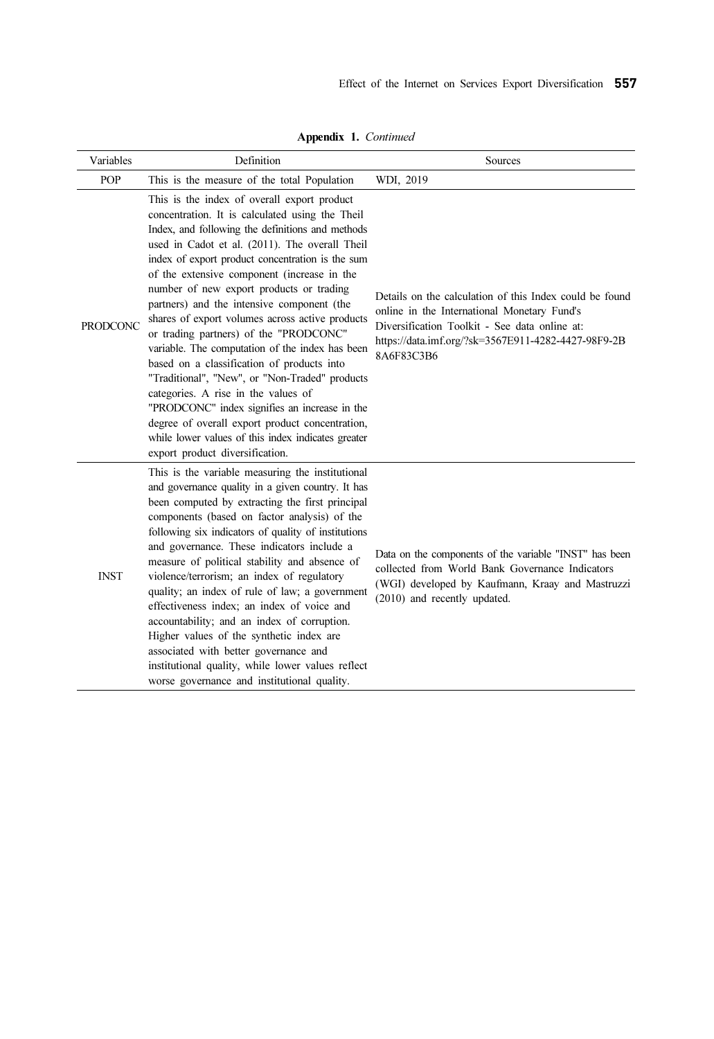| Variables       | Definition                                                                                                                                                                                                                                                                                                                                                                                                                                                                                                                                                                                                                                                                                                                                                                                                                                                                            | Sources                                                                                                                                                                                                                      |
|-----------------|---------------------------------------------------------------------------------------------------------------------------------------------------------------------------------------------------------------------------------------------------------------------------------------------------------------------------------------------------------------------------------------------------------------------------------------------------------------------------------------------------------------------------------------------------------------------------------------------------------------------------------------------------------------------------------------------------------------------------------------------------------------------------------------------------------------------------------------------------------------------------------------|------------------------------------------------------------------------------------------------------------------------------------------------------------------------------------------------------------------------------|
| POP             | This is the measure of the total Population                                                                                                                                                                                                                                                                                                                                                                                                                                                                                                                                                                                                                                                                                                                                                                                                                                           | WDI, 2019                                                                                                                                                                                                                    |
| <b>PRODCONC</b> | This is the index of overall export product<br>concentration. It is calculated using the Theil<br>Index, and following the definitions and methods<br>used in Cadot et al. (2011). The overall Theil<br>index of export product concentration is the sum<br>of the extensive component (increase in the<br>number of new export products or trading<br>partners) and the intensive component (the<br>shares of export volumes across active products<br>or trading partners) of the "PRODCONC"<br>variable. The computation of the index has been<br>based on a classification of products into<br>"Traditional", "New", or "Non-Traded" products<br>categories. A rise in the values of<br>"PRODCONC" index signifies an increase in the<br>degree of overall export product concentration,<br>while lower values of this index indicates greater<br>export product diversification. | Details on the calculation of this Index could be found<br>online in the International Monetary Fund's<br>Diversification Toolkit - See data online at:<br>https://data.imf.org/?sk=3567E911-4282-4427-98F9-2B<br>8A6F83C3B6 |
| <b>INST</b>     | This is the variable measuring the institutional<br>and governance quality in a given country. It has<br>been computed by extracting the first principal<br>components (based on factor analysis) of the<br>following six indicators of quality of institutions<br>and governance. These indicators include a<br>measure of political stability and absence of<br>violence/terrorism; an index of regulatory<br>quality; an index of rule of law; a government<br>effectiveness index; an index of voice and<br>accountability; and an index of corruption.<br>Higher values of the synthetic index are<br>associated with better governance and<br>institutional quality, while lower values reflect<br>worse governance and institutional quality.                                                                                                                                  | Data on the components of the variable "INST" has been<br>collected from World Bank Governance Indicators<br>(WGI) developed by Kaufmann, Kraay and Mastruzzi<br>(2010) and recently updated.                                |

Appendix 1. Continued